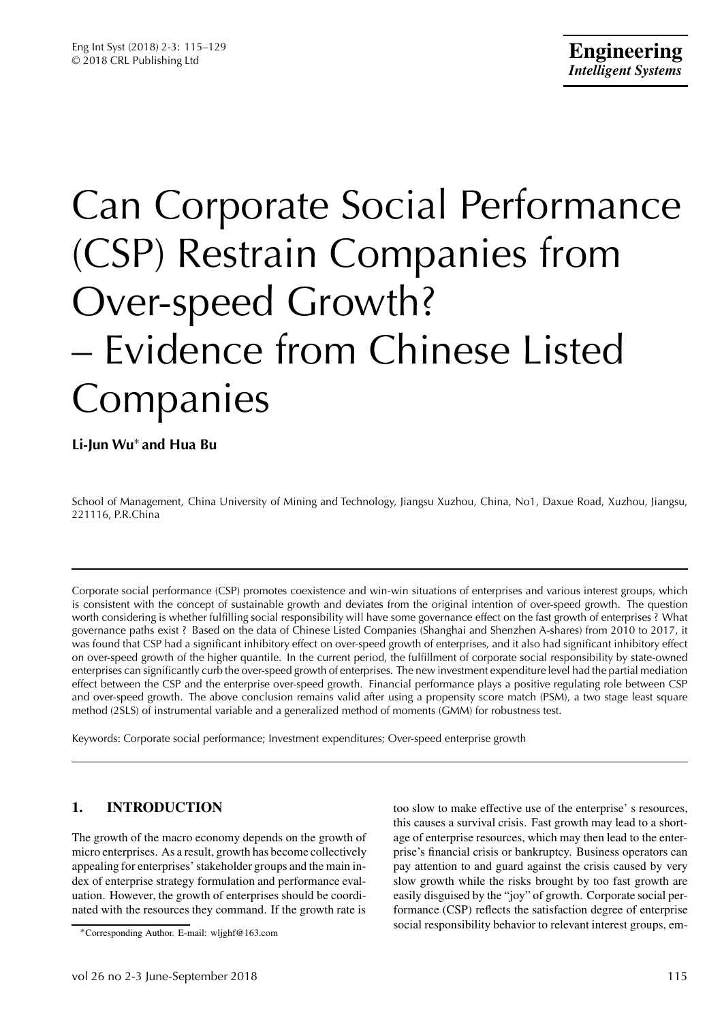# Can Corporate Social Performance (CSP) Restrain Companies from Over-speed Growth? – Evidence from Chinese Listed Companies

**Li-Jun Wu**<sup>∗</sup> **and Hua Bu**

School of Management, China University of Mining and Technology, Jiangsu Xuzhou, China, No1, Daxue Road, Xuzhou, Jiangsu, 221116, P.R.China

Corporate social performance (CSP) promotes coexistence and win-win situations of enterprises and various interest groups, which is consistent with the concept of sustainable growth and deviates from the original intention of over-speed growth. The question worth considering is whether fulfilling social responsibility will have some governance effect on the fast growth of enterprises ? What governance paths exist ? Based on the data of Chinese Listed Companies (Shanghai and Shenzhen A-shares) from 2010 to 2017, it was found that CSP had a significant inhibitory effect on over-speed growth of enterprises, and it also had significant inhibitory effect on over-speed growth of the higher quantile. In the current period, the fulfillment of corporate social responsibility by state-owned enterprises can significantly curb the over-speed growth of enterprises. The new investment expenditure level had the partial mediation effect between the CSP and the enterprise over-speed growth. Financial performance plays a positive regulating role between CSP and over-speed growth. The above conclusion remains valid after using a propensity score match (PSM), a two stage least square method (2SLS) of instrumental variable and a generalized method of moments (GMM) for robustness test.

Keywords: Corporate social performance; Investment expenditures; Over-speed enterprise growth

# **1. INTRODUCTION**

The growth of the macro economy depends on the growth of micro enterprises. As a result, growth has become collectively appealing for enterprises' stakeholder groups and the main index of enterprise strategy formulation and performance evaluation. However, the growth of enterprises should be coordinated with the resources they command. If the growth rate is

too slow to make effective use of the enterprise' s resources, this causes a survival crisis. Fast growth may lead to a shortage of enterprise resources, which may then lead to the enterprise's financial crisis or bankruptcy. Business operators can pay attention to and guard against the crisis caused by very slow growth while the risks brought by too fast growth are easily disguised by the "joy" of growth. Corporate social performance (CSP) reflects the satisfaction degree of enterprise social responsibility behavior to relevant interest groups, em-

<sup>∗</sup>Corresponding Author. E-mail: wljghf@163.com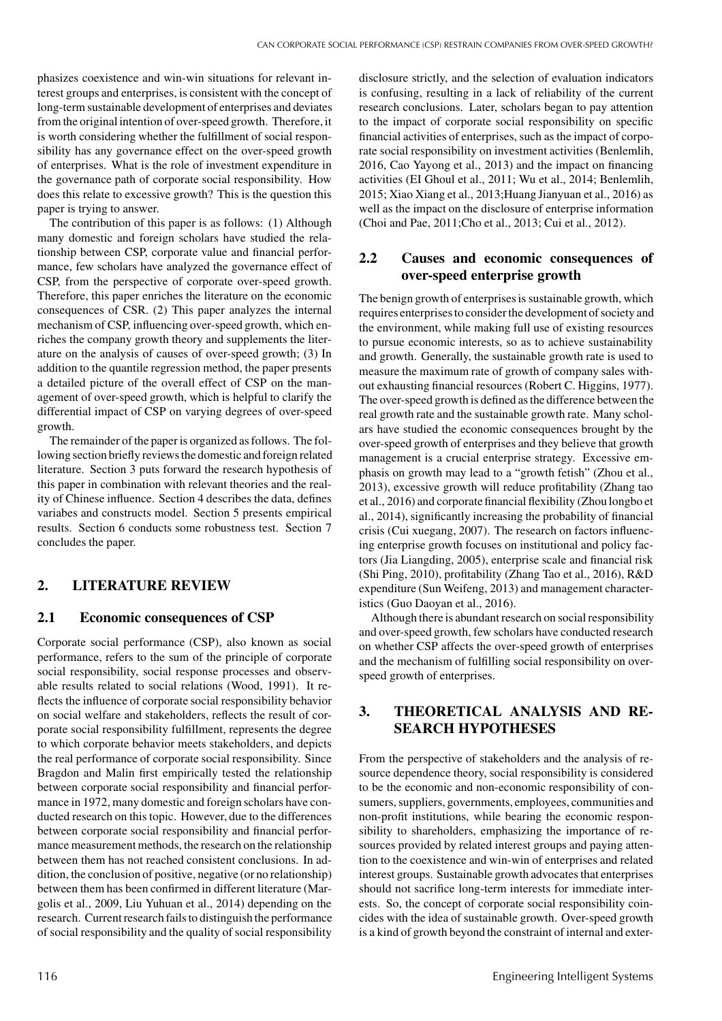phasizes coexistence and win-win situations for relevant interest groups and enterprises, is consistent with the concept of long-term sustainable development of enterprises and deviates from the original intention of over-speed growth. Therefore, it is worth considering whether the fulfillment of social responsibility has any governance effect on the over-speed growth of enterprises. What is the role of investment expenditure in the governance path of corporate social responsibility. How does this relate to excessive growth? This is the question this paper is trying to answer.

The contribution of this paper is as follows: (1) Although many domestic and foreign scholars have studied the relationship between CSP, corporate value and financial performance, few scholars have analyzed the governance effect of CSP, from the perspective of corporate over-speed growth. Therefore, this paper enriches the literature on the economic consequences of CSR. (2) This paper analyzes the internal mechanism of CSP, influencing over-speed growth, which enriches the company growth theory and supplements the literature on the analysis of causes of over-speed growth; (3) In addition to the quantile regression method, the paper presents a detailed picture of the overall effect of CSP on the management of over-speed growth, which is helpful to clarify the differential impact of CSP on varying degrees of over-speed growth.

The remainder of the paper is organized as follows. The following section briefly reviews the domestic and foreign related literature. Section 3 puts forward the research hypothesis of this paper in combination with relevant theories and the reality of Chinese influence. Section 4 describes the data, defines variabes and constructs model. Section 5 presents empirical results. Section 6 conducts some robustness test. Section 7 concludes the paper.

## **2. LITERATURE REVIEW**

## **2.1 Economic consequences of CSP**

Corporate social performance (CSP), also known as social performance, refers to the sum of the principle of corporate social responsibility, social response processes and observable results related to social relations (Wood, 1991). It reflects the influence of corporate social responsibility behavior on social welfare and stakeholders, reflects the result of corporate social responsibility fulfillment, represents the degree to which corporate behavior meets stakeholders, and depicts the real performance of corporate social responsibility. Since Bragdon and Malin first empirically tested the relationship between corporate social responsibility and financial performance in 1972, many domestic and foreign scholars have conducted research on this topic. However, due to the differences between corporate social responsibility and financial performance measurement methods, the research on the relationship between them has not reached consistent conclusions. In addition, the conclusion of positive, negative (or no relationship) between them has been confirmed in different literature (Margolis et al., 2009, Liu Yuhuan et al., 2014) depending on the research. Current research fails to distinguish the performance of social responsibility and the quality of social responsibility

disclosure strictly, and the selection of evaluation indicators is confusing, resulting in a lack of reliability of the current research conclusions. Later, scholars began to pay attention to the impact of corporate social responsibility on specific financial activities of enterprises, such as the impact of corporate social responsibility on investment activities (Benlemlih, 2016, Cao Yayong et al., 2013) and the impact on financing activities (EI Ghoul et al., 2011; Wu et al., 2014; Benlemlih, 2015; Xiao Xiang et al., 2013;Huang Jianyuan et al., 2016) as well as the impact on the disclosure of enterprise information (Choi and Pae, 2011;Cho et al., 2013; Cui et al., 2012).

# **2.2 Causes and economic consequences of over-speed enterprise growth**

The benign growth of enterprises is sustainable growth, which requires enterprises to consider the development of society and the environment, while making full use of existing resources to pursue economic interests, so as to achieve sustainability and growth. Generally, the sustainable growth rate is used to measure the maximum rate of growth of company sales without exhausting financial resources (Robert C. Higgins, 1977). The over-speed growth is defined as the difference between the real growth rate and the sustainable growth rate. Many scholars have studied the economic consequences brought by the over-speed growth of enterprises and they believe that growth management is a crucial enterprise strategy. Excessive emphasis on growth may lead to a "growth fetish" (Zhou et al., 2013), excessive growth will reduce profitability (Zhang tao et al., 2016) and corporate financial flexibility (Zhou longbo et al., 2014), significantly increasing the probability of financial crisis (Cui xuegang, 2007). The research on factors influencing enterprise growth focuses on institutional and policy factors (Jia Liangding, 2005), enterprise scale and financial risk (Shi Ping, 2010), profitability (Zhang Tao et al., 2016), R&D expenditure (Sun Weifeng, 2013) and management characteristics (Guo Daoyan et al., 2016).

Although there is abundant research on social responsibility and over-speed growth, few scholars have conducted research on whether CSP affects the over-speed growth of enterprises and the mechanism of fulfilling social responsibility on overspeed growth of enterprises.

## **3. THEORETICAL ANALYSIS AND RE-SEARCH HYPOTHESES**

From the perspective of stakeholders and the analysis of resource dependence theory, social responsibility is considered to be the economic and non-economic responsibility of consumers, suppliers, governments, employees, communities and non-profit institutions, while bearing the economic responsibility to shareholders, emphasizing the importance of resources provided by related interest groups and paying attention to the coexistence and win-win of enterprises and related interest groups. Sustainable growth advocates that enterprises should not sacrifice long-term interests for immediate interests. So, the concept of corporate social responsibility coincides with the idea of sustainable growth. Over-speed growth is a kind of growth beyond the constraint of internal and exter-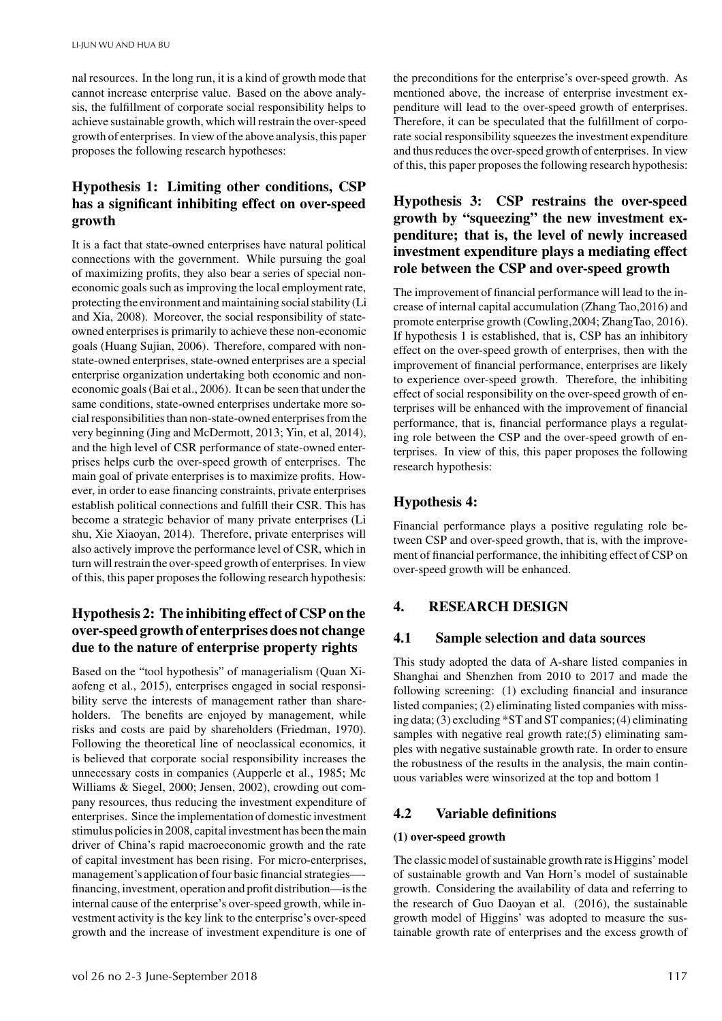nal resources. In the long run, it is a kind of growth mode that cannot increase enterprise value. Based on the above analysis, the fulfillment of corporate social responsibility helps to achieve sustainable growth, which will restrain the over-speed growth of enterprises. In view of the above analysis,this paper proposes the following research hypotheses:

# **Hypothesis 1: Limiting other conditions, CSP has a significant inhibiting effect on over-speed growth**

It is a fact that state-owned enterprises have natural political connections with the government. While pursuing the goal of maximizing profits, they also bear a series of special noneconomic goals such as improving the local employment rate, protecting the environment and maintaining social stability (Li and Xia, 2008). Moreover, the social responsibility of stateowned enterprises is primarily to achieve these non-economic goals (Huang Sujian, 2006). Therefore, compared with nonstate-owned enterprises, state-owned enterprises are a special enterprise organization undertaking both economic and noneconomic goals (Bai et al., 2006). It can be seen that under the same conditions, state-owned enterprises undertake more social responsibilities than non-state-owned enterprises from the very beginning (Jing and McDermott, 2013; Yin, et al, 2014), and the high level of CSR performance of state-owned enterprises helps curb the over-speed growth of enterprises. The main goal of private enterprises is to maximize profits. However, in order to ease financing constraints, private enterprises establish political connections and fulfill their CSR. This has become a strategic behavior of many private enterprises (Li shu, Xie Xiaoyan, 2014). Therefore, private enterprises will also actively improve the performance level of CSR, which in turn will restrain the over-speed growth of enterprises. In view of this, this paper proposes the following research hypothesis:

# **Hypothesis 2: The inhibiting effect of CSP on the over-speed growth of enterprises does not change due to the nature of enterprise property rights**

Based on the "tool hypothesis" of managerialism (Quan Xiaofeng et al., 2015), enterprises engaged in social responsibility serve the interests of management rather than shareholders. The benefits are enjoyed by management, while risks and costs are paid by shareholders (Friedman, 1970). Following the theoretical line of neoclassical economics, it is believed that corporate social responsibility increases the unnecessary costs in companies (Aupperle et al., 1985; Mc Williams & Siegel, 2000; Jensen, 2002), crowding out company resources, thus reducing the investment expenditure of enterprises. Since the implementation of domestic investment stimulus policies in 2008, capital investment has been the main driver of China's rapid macroeconomic growth and the rate of capital investment has been rising. For micro-enterprises, management's application of four basic financial strategies— financing, investment, operation and profit distribution—is the internal cause of the enterprise's over-speed growth, while investment activity is the key link to the enterprise's over-speed growth and the increase of investment expenditure is one of the preconditions for the enterprise's over-speed growth. As mentioned above, the increase of enterprise investment expenditure will lead to the over-speed growth of enterprises. Therefore, it can be speculated that the fulfillment of corporate social responsibility squeezes the investment expenditure and thus reduces the over-speed growth of enterprises. In view of this, this paper proposes the following research hypothesis:

# **Hypothesis 3: CSP restrains the over-speed growth by "squeezing" the new investment expenditure; that is, the level of newly increased investment expenditure plays a mediating effect role between the CSP and over-speed growth**

The improvement of financial performance will lead to the increase of internal capital accumulation (Zhang Tao,2016) and promote enterprise growth (Cowling,2004; ZhangTao, 2016). If hypothesis 1 is established, that is, CSP has an inhibitory effect on the over-speed growth of enterprises, then with the improvement of financial performance, enterprises are likely to experience over-speed growth. Therefore, the inhibiting effect of social responsibility on the over-speed growth of enterprises will be enhanced with the improvement of financial performance, that is, financial performance plays a regulating role between the CSP and the over-speed growth of enterprises. In view of this, this paper proposes the following research hypothesis:

# **Hypothesis 4:**

Financial performance plays a positive regulating role between CSP and over-speed growth, that is, with the improvement of financial performance, the inhibiting effect of CSP on over-speed growth will be enhanced.

# **4. RESEARCH DESIGN**

## **4.1 Sample selection and data sources**

This study adopted the data of A-share listed companies in Shanghai and Shenzhen from 2010 to 2017 and made the following screening: (1) excluding financial and insurance listed companies; (2) eliminating listed companies with missing data; (3) excluding \*ST and ST companies; (4) eliminating samples with negative real growth rate;(5) eliminating samples with negative sustainable growth rate. In order to ensure the robustness of the results in the analysis, the main continuous variables were winsorized at the top and bottom 1

## **4.2 Variable definitions**

## **(1) over-speed growth**

The classic model of sustainable growth rate is Higgins' model of sustainable growth and Van Horn's model of sustainable growth. Considering the availability of data and referring to the research of Guo Daoyan et al. (2016), the sustainable growth model of Higgins' was adopted to measure the sustainable growth rate of enterprises and the excess growth of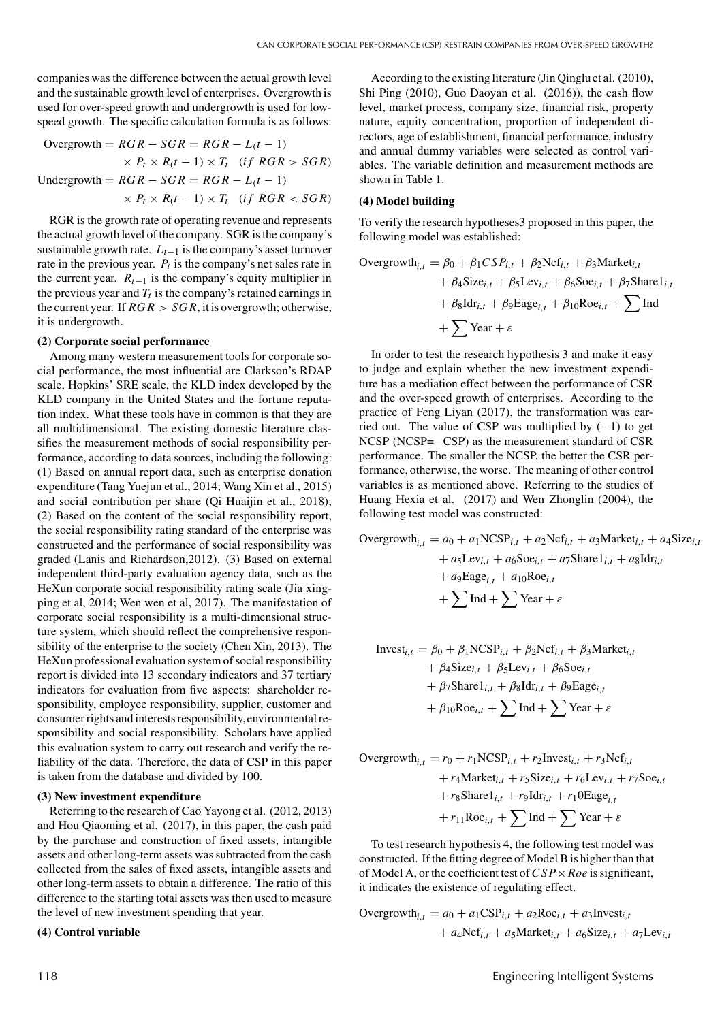companies was the difference between the actual growth level and the sustainable growth level of enterprises. Overgrowth is used for over-speed growth and undergrowth is used for lowspeed growth. The specific calculation formula is as follows:

Overgrowth = 
$$
RGR - SGR = RGR - L(t - 1)
$$

\n
$$
\times P_t \times R(t - 1) \times T_t \quad (if \ RGR > SGR)
$$

\nUndergrowth = 
$$
RGR - SGR = RGR - L(t - 1)
$$

\n
$$
\times P_t \times R(t - 1) \times T_t \quad (if \ RGR < SGR)
$$

RGR is the growth rate of operating revenue and represents the actual growth level of the company. SGR is the company's sustainable growth rate.  $L_{t-1}$  is the company's asset turnover rate in the previous year.  $P_t$  is the company's net sales rate in the current year.  $R_{t-1}$  is the company's equity multiplier in the previous year and  $T_t$  is the company's retained earnings in the current year. If  $RGR > SGR$ , it is overgrowth; otherwise, it is undergrowth.

#### **(2) Corporate social performance**

Among many western measurement tools for corporate social performance, the most influential are Clarkson's RDAP scale, Hopkins' SRE scale, the KLD index developed by the KLD company in the United States and the fortune reputation index. What these tools have in common is that they are all multidimensional. The existing domestic literature classifies the measurement methods of social responsibility performance, according to data sources, including the following: (1) Based on annual report data, such as enterprise donation expenditure (Tang Yuejun et al., 2014; Wang Xin et al., 2015) and social contribution per share (Qi Huaijin et al., 2018); (2) Based on the content of the social responsibility report, the social responsibility rating standard of the enterprise was constructed and the performance of social responsibility was graded (Lanis and Richardson,2012). (3) Based on external independent third-party evaluation agency data, such as the HeXun corporate social responsibility rating scale (Jia xingping et al, 2014; Wen wen et al, 2017). The manifestation of corporate social responsibility is a multi-dimensional structure system, which should reflect the comprehensive responsibility of the enterprise to the society (Chen Xin, 2013). The HeXun professional evaluation system of social responsibility report is divided into 13 secondary indicators and 37 tertiary indicators for evaluation from five aspects: shareholder responsibility, employee responsibility, supplier, customer and consumer rights and interests responsibility,environmental responsibility and social responsibility. Scholars have applied this evaluation system to carry out research and verify the reliability of the data. Therefore, the data of CSP in this paper is taken from the database and divided by 100.

#### **(3) New investment expenditure**

Referring to the research of Cao Yayong et al. (2012, 2013) and Hou Qiaoming et al. (2017), in this paper, the cash paid by the purchase and construction of fixed assets, intangible assets and other long-term assets was subtracted from the cash collected from the sales of fixed assets, intangible assets and other long-term assets to obtain a difference. The ratio of this difference to the starting total assets was then used to measure the level of new investment spending that year.

#### **(4) Control variable**

According to the existing literature (Jin Qinglu et al. (2010), Shi Ping (2010), Guo Daoyan et al. (2016)), the cash flow level, market process, company size, financial risk, property nature, equity concentration, proportion of independent directors, age of establishment, financial performance, industry and annual dummy variables were selected as control variables. The variable definition and measurement methods are shown in Table 1.

#### **(4) Model building**

To verify the research hypotheses3 proposed in this paper, the following model was established:

Overgrowth<sub>i,t</sub> = 
$$
\beta_0 + \beta_1 CSP_{i,t} + \beta_2Ncf_{i,t} + \beta_3Market_{i,t}
$$

\n
$$
+ \beta_4Size_{i,t} + \beta_5 Lev_{i,t} + \beta_6 Soc_{i,t} + \beta_7Share1_{i,t}
$$

\n
$$
+ \beta_8 Idr_{i,t} + \beta_9 Eage_{i,t} + \beta_{10}Roe_{i,t} + \sum Ind
$$

\n
$$
+ \sum
$$
 Year +  $\varepsilon$ 

In order to test the research hypothesis 3 and make it easy to judge and explain whether the new investment expenditure has a mediation effect between the performance of CSR and the over-speed growth of enterprises. According to the practice of Feng Liyan (2017), the transformation was carried out. The value of CSP was multiplied by  $(-1)$  to get NCSP (NCSP =−CSP) as the measurement standard of CSR performance. The smaller the NCSP, the better the CSR performance, otherwise, the worse. The meaning of other control variables is as mentioned above. Referring to the studies of Huang Hexia et al. (2017) and Wen Zhonglin (2004), the following test model was constructed:

Overgrowth<sub>i,t</sub> = 
$$
a_0 + a_1 \text{NCSP}_{i,t} + a_2 \text{Ncf}_{i,t} + a_3 \text{Market}_{i,t} + a_4 \text{Size}_{i,t} + a_5 \text{Lev}_{i,t} + a_6 \text{Soe}_{i,t} + a_7 \text{Share1}_{i,t} + a_8 \text{Idr}_{i,t} + a_9 \text{Eage}_{i,t} + a_{10} \text{Roe}_{i,t} + \sum \text{Ind} + \sum \text{Year} + \varepsilon
$$

$$
Invest_{i,t} = \beta_0 + \beta_1 \text{NCSP}_{i,t} + \beta_2 \text{Ncf}_{i,t} + \beta_3 \text{Market}_{i,t} + \beta_4 \text{Size}_{i,t} + \beta_5 \text{Lev}_{i,t} + \beta_6 \text{Soe}_{i,t} + \beta_7 \text{Share1}_{i,t} + \beta_8 \text{Idr}_{i,t} + \beta_9 \text{Eage}_{i,t} + \beta_{10} \text{Roe}_{i,t} + \sum \text{Ind} + \sum \text{Year} + \varepsilon
$$

Overgrowth<sub>i,t</sub> = 
$$
r_0 + r_1 \text{NCSP}_{i,t} + r_2 \text{Invest}_{i,t} + r_3 \text{Ncf}_{i,t}
$$

\n
$$
+ r_4 \text{Market}_{i,t} + r_5 \text{Size}_{i,t} + r_6 \text{Lev}_{i,t} + r_7 \text{See}_{i,t}
$$

\n
$$
+ r_8 \text{Share1}_{i,t} + r_9 \text{Idr}_{i,t} + r_1 \text{0Eage}_{i,t}
$$

\n
$$
+ r_{11} \text{Roe}_{i,t} + \sum \text{Ind} + \sum \text{Year} + \varepsilon
$$

To test research hypothesis 4, the following test model was constructed. If the fitting degree of Model B is higher than that of Model A, or the coefficient test of*CSP*×*Roe* is significant, it indicates the existence of regulating effect.

Overgrowth<sub>i,t</sub> = 
$$
a_0 + a_1 \text{CSP}_{i,t} + a_2 \text{Roe}_{i,t} + a_3 \text{Invest}_{i,t}
$$
  
+  $a_4 \text{Ncf}_{i,t} + a_5 \text{Market}_{i,t} + a_6 \text{Size}_{i,t} + a_7 \text{Lev}_{i,t}$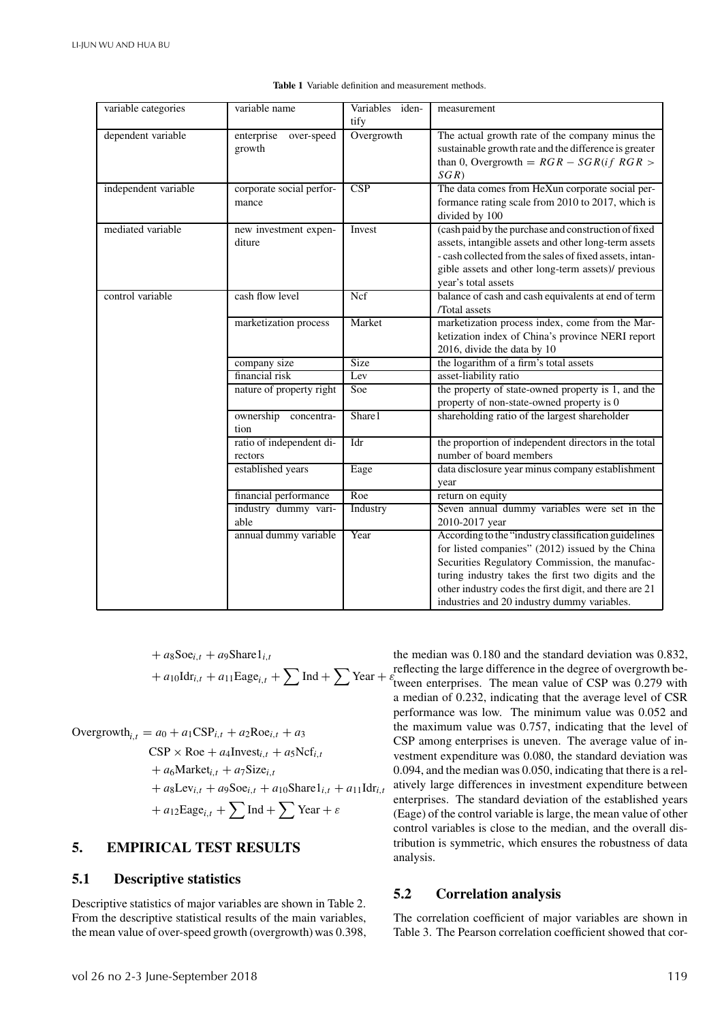| variable categories  | variable name            | Variables iden- | measurement                                             |
|----------------------|--------------------------|-----------------|---------------------------------------------------------|
|                      |                          | tify            |                                                         |
| dependent variable   | enterprise<br>over-speed | Overgrowth      | The actual growth rate of the company minus the         |
|                      | growth                   |                 | sustainable growth rate and the difference is greater   |
|                      |                          |                 | than 0, Overgrowth = $RGR - SGR(if RGR >$               |
|                      |                          |                 | SGR)                                                    |
| independent variable | corporate social perfor- | CSP             | The data comes from HeXun corporate social per-         |
|                      | mance                    |                 | formance rating scale from 2010 to 2017, which is       |
|                      |                          |                 | divided by 100                                          |
| mediated variable    | new investment expen-    | Invest          | (cash paid by the purchase and construction of fixed    |
|                      | diture                   |                 | assets, intangible assets and other long-term assets    |
|                      |                          |                 | - cash collected from the sales of fixed assets, intan- |
|                      |                          |                 | gible assets and other long-term assets)/ previous      |
|                      |                          |                 | year's total assets                                     |
| control variable     | cash flow level          | Ncf             | balance of cash and cash equivalents at end of term     |
|                      |                          |                 | /Total assets                                           |
|                      | marketization process    | Market          | marketization process index, come from the Mar-         |
|                      |                          |                 | ketization index of China's province NERI report        |
|                      |                          |                 | 2016, divide the data by 10                             |
|                      | company size             | <b>Size</b>     | the logarithm of a firm's total assets                  |
|                      | financial risk           | Lev             | asset-liability ratio                                   |
|                      | nature of property right | Soe             | the property of state-owned property is 1, and the      |
|                      |                          |                 | property of non-state-owned property is 0               |
|                      | ownership concentra-     | Share1          | shareholding ratio of the largest shareholder           |
|                      | tion                     |                 |                                                         |
|                      | ratio of independent di- | Idr             | the proportion of independent directors in the total    |
|                      | rectors                  |                 | number of board members                                 |
|                      | established years        | Eage            | data disclosure year minus company establishment        |
|                      |                          |                 | year                                                    |
|                      | financial performance    | Roe             | return on equity                                        |
|                      | industry dummy vari-     | Industry        | Seven annual dummy variables were set in the            |
|                      | able                     |                 | 2010-2017 year                                          |
|                      | annual dummy variable    | Year            | According to the "industry classification guidelines"   |
|                      |                          |                 | for listed companies" (2012) issued by the China        |
|                      |                          |                 | Securities Regulatory Commission, the manufac-          |
|                      |                          |                 | turing industry takes the first two digits and the      |
|                      |                          |                 | other industry codes the first digit, and there are 21  |
|                      |                          |                 | industries and 20 industry dummy variables.             |

**Table 1** Variable definition and measurement methods.

+ 
$$
a_8
$$
Soe<sub>i,t</sub> +  $a_9$ Share1<sub>i,t</sub>  
+  $a_{10}$ Idr<sub>i,t</sub> +  $a_{11}$ Eage<sub>i,t</sub> +  $\sum$  Ind +  $\sum$  Year +  $\varepsilon$ 

Overgrowth<sub>i,t</sub> = 
$$
a_0 + a_1 \text{CSP}_{i,t} + a_2 \text{Roe}_{i,t} + a_3
$$

\n
$$
\text{CSP} \times \text{Roe} + a_4 \text{Invest}_{i,t} + a_5 \text{Ncf}_{i,t}
$$

\n
$$
+ a_6 \text{Market}_{i,t} + a_7 \text{Size}_{i,t}
$$

\n
$$
+ a_8 \text{Lev}_{i,t} + a_9 \text{Soe}_{i,t} + a_{10} \text{Share1}_{i,t} + a_{11} \text{Idr}_{i,t}
$$

\n
$$
+ a_{12} \text{Eage}_{i,t} + \sum \text{Ind} + \sum \text{Year} + \varepsilon
$$

# **5. EMPIRICAL TEST RESULTS**

## **5.1 Descriptive statistics**

Descriptive statistics of major variables are shown in Table 2. From the descriptive statistical results of the main variables, the mean value of over-speed growth (overgrowth) was 0.398, the median was 0.180 and the standard deviation was 0.832, reflecting the large difference in the degree of overgrowth between enterprises. The mean value of CSP was  $0.279$  with a median of 0.232, indicating that the average level of CSR performance was low. The minimum value was 0.052 and the maximum value was 0.757, indicating that the level of CSP among enterprises is uneven. The average value of investment expenditure was 0.080, the standard deviation was 0.094, and the median was 0.050, indicating that there is a relatively large differences in investment expenditure between enterprises. The standard deviation of the established years (Eage) of the control variable is large, the mean value of other control variables is close to the median, and the overall distribution is symmetric, which ensures the robustness of data analysis.

## **5.2 Correlation analysis**

The correlation coefficient of major variables are shown in Table 3. The Pearson correlation coefficient showed that cor-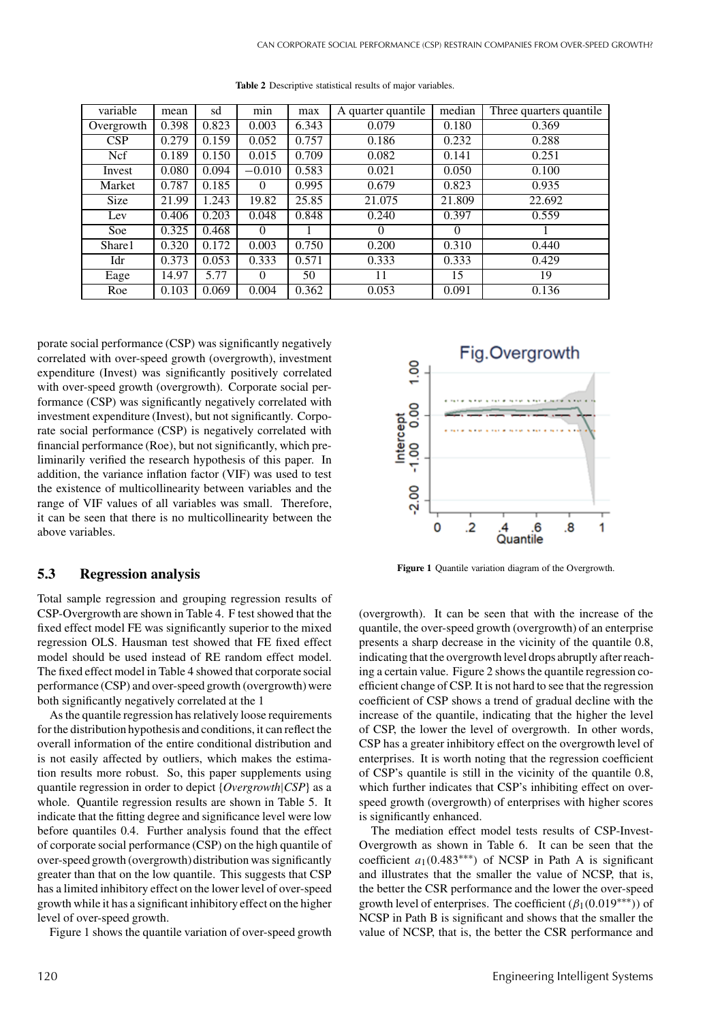| variable    | mean  | sd    | min      | max   | A quarter quantile | median   | Three quarters quantile. |
|-------------|-------|-------|----------|-------|--------------------|----------|--------------------------|
| Overgrowth  | 0.398 | 0.823 | 0.003    | 6.343 | 0.079              | 0.180    | 0.369                    |
| CSP         | 0.279 | 0.159 | 0.052    | 0.757 | 0.186              | 0.232    | 0.288                    |
| <b>Ncf</b>  | 0.189 | 0.150 | 0.015    | 0.709 | 0.082              | 0.141    | 0.251                    |
| Invest      | 0.080 | 0.094 | $-0.010$ | 0.583 | 0.021              | 0.050    | 0.100                    |
| Market      | 0.787 | 0.185 | $\Omega$ | 0.995 | 0.679              | 0.823    | 0.935                    |
| <b>Size</b> | 21.99 | 1.243 | 19.82    | 25.85 | 21.075             | 21.809   | 22.692                   |
| Lev         | 0.406 | 0.203 | 0.048    | 0.848 | 0.240              | 0.397    | 0.559                    |
| Soe         | 0.325 | 0.468 | $\Omega$ |       | $\Omega$           | $\Omega$ |                          |
| Share1      | 0.320 | 0.172 | 0.003    | 0.750 | 0.200              | 0.310    | 0.440                    |
| Idr         | 0.373 | 0.053 | 0.333    | 0.571 | 0.333              | 0.333    | 0.429                    |
| Eage        | 14.97 | 5.77  | $\Omega$ | 50    | 11                 | 15       | 19                       |
| Roe         | 0.103 | 0.069 | 0.004    | 0.362 | 0.053              | 0.091    | 0.136                    |

**Table 2** Descriptive statistical results of major variables.

porate social performance (CSP) was significantly negatively correlated with over-speed growth (overgrowth), investment expenditure (Invest) was significantly positively correlated with over-speed growth (overgrowth). Corporate social performance (CSP) was significantly negatively correlated with investment expenditure (Invest), but not significantly. Corporate social performance (CSP) is negatively correlated with financial performance (Roe), but not significantly, which preliminarily verified the research hypothesis of this paper. In addition, the variance inflation factor (VIF) was used to test the existence of multicollinearity between variables and the range of VIF values of all variables was small. Therefore, it can be seen that there is no multicollinearity between the above variables.

## **5.3 Regression analysis**

Total sample regression and grouping regression results of CSP-Overgrowth are shown in Table 4. F test showed that the fixed effect model FE was significantly superior to the mixed regression OLS. Hausman test showed that FE fixed effect model should be used instead of RE random effect model. The fixed effect model in Table 4 showed that corporate social performance (CSP) and over-speed growth (overgrowth) were both significantly negatively correlated at the 1

As the quantile regression has relatively loose requirements for the distribution hypothesis and conditions, it can reflect the overall information of the entire conditional distribution and is not easily affected by outliers, which makes the estimation results more robust. So, this paper supplements using quantile regression in order to depict {*Overgrowth*|*CSP*} as a whole. Quantile regression results are shown in Table 5. It indicate that the fitting degree and significance level were low before quantiles 0.4. Further analysis found that the effect of corporate social performance (CSP) on the high quantile of over-speed growth (overgrowth) distribution was significantly greater than that on the low quantile. This suggests that CSP has a limited inhibitory effect on the lower level of over-speed growth while it has a significant inhibitory effect on the higher level of over-speed growth.

Figure 1 shows the quantile variation of over-speed growth



**Figure 1** Quantile variation diagram of the Overgrowth.

(overgrowth). It can be seen that with the increase of the quantile, the over-speed growth (overgrowth) of an enterprise presents a sharp decrease in the vicinity of the quantile 0.8, indicating that the overgrowth level drops abruptly after reaching a certain value. Figure 2 shows the quantile regression coefficient change of CSP. It is not hard to see that the regression coefficient of CSP shows a trend of gradual decline with the increase of the quantile, indicating that the higher the level of CSP, the lower the level of overgrowth. In other words, CSP has a greater inhibitory effect on the overgrowth level of enterprises. It is worth noting that the regression coefficient of CSP's quantile is still in the vicinity of the quantile 0.8, which further indicates that CSP's inhibiting effect on overspeed growth (overgrowth) of enterprises with higher scores is significantly enhanced.

The mediation effect model tests results of CSP-Invest-Overgrowth as shown in Table 6. It can be seen that the coefficient *a*1(0.483∗∗∗) of NCSP in Path A is significant and illustrates that the smaller the value of NCSP, that is, the better the CSR performance and the lower the over-speed growth level of enterprises. The coefficient  $(\beta_1(0.019^{***}))$  of NCSP in Path B is significant and shows that the smaller the value of NCSP, that is, the better the CSR performance and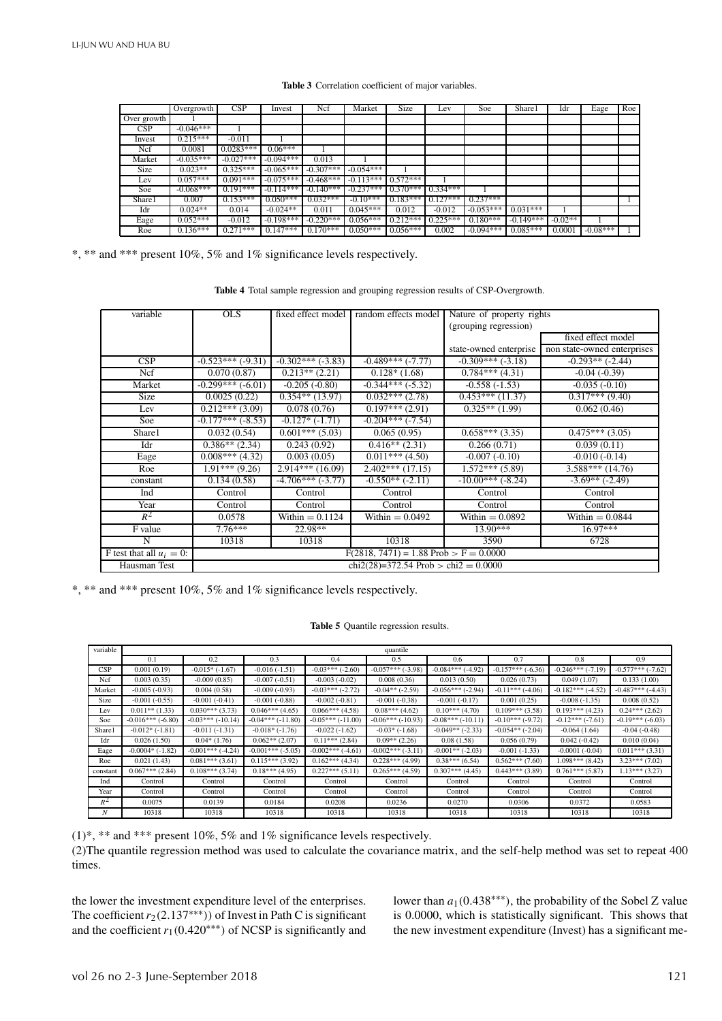#### **Table 3** Correlation coefficient of major variables.

|             | Overgrowth  | $\overline{\text{CSP}}$ | Invest      | Ncf         | Market      | Size       | Lev        | Soe         | Share1      | Idr       | Eage       | Roe |
|-------------|-------------|-------------------------|-------------|-------------|-------------|------------|------------|-------------|-------------|-----------|------------|-----|
| Over growth |             |                         |             |             |             |            |            |             |             |           |            |     |
| CSP         | $-0.046***$ |                         |             |             |             |            |            |             |             |           |            |     |
| Invest      | $0.215***$  | $-0.011$                |             |             |             |            |            |             |             |           |            |     |
| Ncf         | 0.0081      | $0.0283***$             | $0.06***$   |             |             |            |            |             |             |           |            |     |
| Market      | $-0.035***$ | $-0.027***$             | $-0.094***$ | 0.013       |             |            |            |             |             |           |            |     |
| <b>Size</b> | $0.023**$   | $0.325***$              | $-0.065***$ | $-0.307***$ | $-0.054***$ |            |            |             |             |           |            |     |
| Lev         | $0.057***$  | $0.091***$              | $-0.075***$ | $-0.468***$ | $-0.113***$ | $0.572***$ |            |             |             |           |            |     |
| Soe         | $-0.068***$ | $0.191***$              | $-0.114***$ | $-0.140***$ | $-0.237***$ | $0.370***$ | $0.334***$ |             |             |           |            |     |
| Share1      | 0.007       | $0.153***$              | $0.050***$  | $0.032***$  | $-0.10***$  | $0.183***$ | $0.127***$ | $0.237***$  |             |           |            |     |
| Idr         | $0.024**$   | 0.014                   | $-0.024**$  | 0.011       | $0.045***$  | 0.012      | $-0.012$   | $-0.053***$ | $0.031***$  |           |            |     |
| Eage        | $0.052***$  | $-0.012$                | $-0.198***$ | $-0.220***$ | $0.056***$  | $0.212***$ | $0.225***$ | $0.180***$  | $-0.149***$ | $-0.02**$ |            |     |
| Roe         | $0.136***$  | $0.271***$              | $0.147***$  | $0.170***$  | $0.050***$  | $0.056***$ | 0.002      | $-0.094***$ | $0.085***$  | 0.0001    | $-0.08***$ |     |

\*, \*\* and \*\*\* present 10%, 5% and 1% significance levels respectively.

**Table 4** Total sample regression and grouping regression results of CSP-Overgrowth.

| variable                    | <b>OLS</b>            | fixed effect model           | random effects model                       | Nature of property rights   |                             |
|-----------------------------|-----------------------|------------------------------|--------------------------------------------|-----------------------------|-----------------------------|
|                             |                       |                              |                                            |                             |                             |
|                             |                       |                              |                                            | (grouping regression)       |                             |
|                             |                       |                              |                                            |                             | fixed effect model          |
|                             |                       |                              |                                            | state-owned enterprise      | non state-owned enterprises |
| CSP                         | $-0.523***(-9.31)$    | $-0.302***(-3.83)$           | $-0.489***(-7.77)$                         | $-0.309***(-3.18)$          | $-0.293**(-2.44)$           |
| Ncf                         | 0.070(0.87)           | $\overline{0.213}$ ** (2.21) | $0.128*(1.68)$                             | $\overline{0.784***$ (4.31) | $-0.04(-0.39)$              |
| Market                      | $-0.299***$ (-6.01)   | $-0.205(-0.80)$              | $-0.344***(-5.32)$                         | $-0.558(-1.53)$             | $-0.035(-0.10)$             |
| <b>Size</b>                 | 0.0025(0.22)          | $0.354**$ (13.97)            | $0.032***(2.78)$                           | $0.453***(11.37)$           | $0.317***$ (9.40)           |
| Lev                         | $0.212***(3.09)$      | 0.078(0.76)                  | $0.197***(2.91)$                           | $0.325**$ (1.99)            | 0.062(0.46)                 |
| Soe                         | $-0.177***$ $(-8.53)$ | $-0.127*(-1.71)$             | $-0.204***(-7.54)$                         |                             |                             |
| Share1                      | 0.032(0.54)           | $\overline{0.601***$ (5.03)  | 0.065(0.95)                                | $0.658***(3.35)$            | $0.475***(3.05)$            |
| Idr                         | $0.386**$ (2.34)      | 0.243(0.92)                  | $\overline{0.416}^{**}$ (2.31)             | 0.266(0.71)                 | 0.039(0.11)                 |
| Eage                        | $0.008***$ (4.32)     | 0.003(0.05)                  | $0.011***$ (4.50)                          | $-0.007(-0.10)$             | $-0.010(-0.14)$             |
| Roe                         | $1.91***$ (9.26)      | $2.914***(16.09)$            | $2.402***(17.15)$                          | $1.572***(5.89)$            | $3.588***(14.76)$           |
| constant                    | 0.134(0.58)           | $-4.706***$ ( $-3.77$ )      | $-0.550**$ (-2.11)                         | $-10.00***$ (-8.24)         | $-3.69**(-2.49)$            |
| Ind                         | Control               | Control                      | Control                                    | Control                     | Control                     |
| Year                        | Control               | Control                      | Control                                    | Control                     | Control                     |
| $R^2$                       | 0.0578                | Within $= 0.1124$            | Within $= 0.0492$                          | Within $= 0.0892$           | Within $= 0.0844$           |
| F value                     | $7.76***$             | 22.98**                      |                                            | $13.90***$                  | $16.97***$                  |
| N                           | 10318                 | 10318                        | 10318                                      | 3590                        | 6728                        |
| F test that all $u_i = 0$ : |                       |                              | $F(2818, 7471) = 1.88$ Prob $> F = 0.0000$ |                             |                             |
| Hausman Test                |                       |                              | chi2(28)=372.54 Prob > chi2 = $0.0000$     |                             |                             |

\*, \*\* and \*\*\* present 10%, 5% and 1% significance levels respectively.

#### **Table 5** Quantile regression results.

| variable         |                      |                     |                    |                    | quantile           |                     |                    |                       |                    |
|------------------|----------------------|---------------------|--------------------|--------------------|--------------------|---------------------|--------------------|-----------------------|--------------------|
|                  | 0.1                  | 0.2                 | 0.3                | 0.4                | 0.5                | 0.6                 | 0.7                | 0.8                   | 0.9                |
| <b>CSP</b>       | 0.001(0.19)          | $-0.015*$ $(-1.67)$ | $-0.016(-1.51)$    | $-0.03***(-2.60)$  | $-0.057***(-3.98)$ | $-0.084***$ (-4.92) | $-0.157***(-6.36)$ | $-0.246***(-7.19)$    | $-0.577***(-7.62)$ |
| Ncf              | 0.003(0.35)          | $-0.009(0.85)$      | $-0.007(-0.51)$    | $-0.003(-0.02)$    | 0.008(0.36)        | 0.013(0.50)         | 0.026(0.73)        | 0.049(1.07)           | 0.133(1.00)        |
| Market           | $-0.005(-0.93)$      | 0.004(0.58)         | $-0.009(-0.93)$    | $-0.03***(-2.72)$  | $-0.04**(-2.59)$   | $-0.056***(-2.94)$  | $-0.11***$ (-4.06) | $-0.182***$ $(-4.52)$ | $-0.487***(-4.43)$ |
| <b>Size</b>      | $-0.001(-0.55)$      | $-0.001(-0.41)$     | $-0.001(-0.88)$    | $-0.002(-0.81)$    | $-0.001(-0.38)$    | $-0.001(-0.17)$     | 0.001(0.25)        | $-0.008(-1.35)$       | 0.008(0.52)        |
| Lev              | $0.011**$ (1.33)     | $0.030***$ (3.73)   | $0.046***(4.65)$   | $0.066***$ (4.58)  | $0.08***(4.62)$    | $0.10***(4.70)$     | $0.109***$ (3.58)  | $0.193***$ (4.23)     | $0.24***(2.62)$    |
| Soe              | $-0.016***(-6.80)$   | $-0.03***(-10.14)$  | $-0.04***(-11.80)$ | $-0.05***(-11.00)$ | $-0.06***(-10.93)$ | $-0.08***(-10.11)$  | $-0.10***(-9.72)$  | $-0.12***(-7.61)$     | $-0.19***(-6.03)$  |
| Share1           | $-0.012*(-1.81)$     | $-0.011(-1.31)$     | $-0.018*(-1.76)$   | $-0.022(-1.62)$    | $-0.03*(-1.68)$    | $-0.049**(-2.33)$   | $-0.054**(-2.04)$  | $-0.064(1.64)$        | $-0.04(-0.48)$     |
| Idr              | 0.026(1.50)          | $0.04*(1.76)$       | $0.062**$ (2.07)   | $0.11***$ (2.84)   | $0.09**$ (2.26)    | 0.08(1.58)          | 0.056(0.79)        | $0.042(-0.42)$        | 0.010(0.04)        |
| Eage             | $-0.0004*$ $(-1.82)$ | $-0.001***$ (-4.24) | $-0.001***(-5.05)$ | $-0.002***(-4.61)$ | $-0.002***(-3.11)$ | $-0.001**(-2.03)$   | $-0.001(-1.33)$    | $-0.0001(-0.04)$      | $0.011***$ (3.31)  |
| Roe              | 0.021(1.43)          | $0.081***$ (3.61)   | $0.115***(3.92)$   | $0.162***$ (4.34)  | $0.228***$ (4.99)  | $0.38***(6.54)$     | $0.562***(7.60)$   | $1.098***$ (8.42)     | $3.23***(7.02)$    |
| constant         | $0.067***$ (2.84)    | $0.108***$ (3.74)   | $0.18***(4.95)$    | $0.227***(5.11)$   | $0.265***(4.59)$   | $0.307***$ (4.45)   | $0.443***$ (3.89)  | $0.761***(5.87)$      | $1.13***(3.27)$    |
| Ind              | Control              | Control             | Control            | Control            | Control            | Control             | Control            | Control               | Control            |
| Year             | Control              | Control             | Control            | Control            | Control            | Control             | Control            | Control               | Control            |
| $R^2$            | 0.0075               | 0.0139              | 0.0184             | 0.0208             | 0.0236             | 0.0270              | 0.0306             | 0.0372                | 0.0583             |
| $\boldsymbol{N}$ | 10318                | 10318               | 10318              | 10318              | 10318              | 10318               | 10318              | 10318                 | 10318              |

 $(1)$ <sup>\*</sup>, \*\* and \*\*\* present 10%, 5% and 1% significance levels respectively.

(2)The quantile regression method was used to calculate the covariance matrix, and the self-help method was set to repeat 400 times.

the lower the investment expenditure level of the enterprises. The coefficient  $r_2(2.137***)$ ) of Invest in Path C is significant and the coefficient  $r_1(0.420^{***})$  of NCSP is significantly and lower than  $a_1(0.438***)$ , the probability of the Sobel Z value is 0.0000, which is statistically significant. This shows that the new investment expenditure (Invest) has a significant me-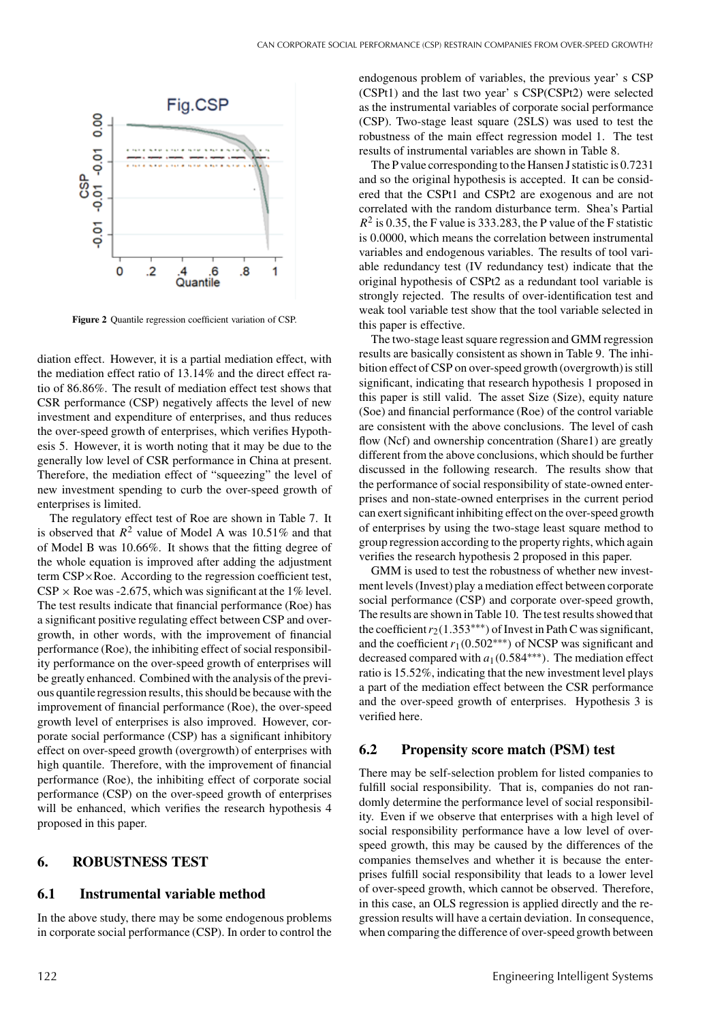

**Figure 2** Quantile regression coefficient variation of CSP.

diation effect. However, it is a partial mediation effect, with the mediation effect ratio of 13.14% and the direct effect ratio of 86.86%. The result of mediation effect test shows that CSR performance (CSP) negatively affects the level of new investment and expenditure of enterprises, and thus reduces the over-speed growth of enterprises, which verifies Hypothesis 5. However, it is worth noting that it may be due to the generally low level of CSR performance in China at present. Therefore, the mediation effect of "squeezing" the level of new investment spending to curb the over-speed growth of enterprises is limited.

The regulatory effect test of Roe are shown in Table 7. It is observed that  $R^2$  value of Model A was 10.51% and that of Model B was 10.66%. It shows that the fitting degree of the whole equation is improved after adding the adjustment term CSP×Roe. According to the regression coefficient test,  $CSP \times R$ oe was -2.675, which was significant at the 1% level. The test results indicate that financial performance (Roe) has a significant positive regulating effect between CSP and overgrowth, in other words, with the improvement of financial performance (Roe), the inhibiting effect of social responsibility performance on the over-speed growth of enterprises will be greatly enhanced. Combined with the analysis of the previous quantile regression results, this should be because with the improvement of financial performance (Roe), the over-speed growth level of enterprises is also improved. However, corporate social performance (CSP) has a significant inhibitory effect on over-speed growth (overgrowth) of enterprises with high quantile. Therefore, with the improvement of financial performance (Roe), the inhibiting effect of corporate social performance (CSP) on the over-speed growth of enterprises will be enhanced, which verifies the research hypothesis 4 proposed in this paper.

## **6. ROBUSTNESS TEST**

### **6.1 Instrumental variable method**

In the above study, there may be some endogenous problems in corporate social performance (CSP). In order to control the

endogenous problem of variables, the previous year' s CSP (CSPt1) and the last two year' s CSP(CSPt2) were selected as the instrumental variables of corporate social performance (CSP). Two-stage least square (2SLS) was used to test the robustness of the main effect regression model 1. The test results of instrumental variables are shown in Table 8.

The P value corresponding to the Hansen J statistic is 0.7231 and so the original hypothesis is accepted. It can be considered that the CSPt1 and CSPt2 are exogenous and are not correlated with the random disturbance term. Shea's Partial  $R^2$  is 0.35, the F value is 333.283, the P value of the F statistic is 0.0000, which means the correlation between instrumental variables and endogenous variables. The results of tool variable redundancy test (IV redundancy test) indicate that the original hypothesis of CSPt2 as a redundant tool variable is strongly rejected. The results of over-identification test and weak tool variable test show that the tool variable selected in this paper is effective.

The two-stage least square regression and GMM regression results are basically consistent as shown in Table 9. The inhibition effect of CSP on over-speed growth (overgrowth) is still significant, indicating that research hypothesis 1 proposed in this paper is still valid. The asset Size (Size), equity nature (Soe) and financial performance (Roe) of the control variable are consistent with the above conclusions. The level of cash flow (Ncf) and ownership concentration (Share1) are greatly different from the above conclusions, which should be further discussed in the following research. The results show that the performance of social responsibility of state-owned enterprises and non-state-owned enterprises in the current period can exert significant inhibiting effect on the over-speed growth of enterprises by using the two-stage least square method to group regression according to the property rights, which again verifies the research hypothesis 2 proposed in this paper.

GMM is used to test the robustness of whether new investment levels (Invest) play a mediation effect between corporate social performance (CSP) and corporate over-speed growth, The results are shown in Table 10. The test results showed that the coefficient  $r_2(1.353^{***})$  of Invest in Path C was significant, and the coefficient*r*1(0.502∗∗∗) of NCSP was significant and decreased compared with *a*1(0.584∗∗∗). The mediation effect ratio is 15.52%, indicating that the new investment level plays a part of the mediation effect between the CSR performance and the over-speed growth of enterprises. Hypothesis 3 is verified here.

## **6.2 Propensity score match (PSM) test**

There may be self-selection problem for listed companies to fulfill social responsibility. That is, companies do not randomly determine the performance level of social responsibility. Even if we observe that enterprises with a high level of social responsibility performance have a low level of overspeed growth, this may be caused by the differences of the companies themselves and whether it is because the enterprises fulfill social responsibility that leads to a lower level of over-speed growth, which cannot be observed. Therefore, in this case, an OLS regression is applied directly and the regression results will have a certain deviation. In consequence, when comparing the difference of over-speed growth between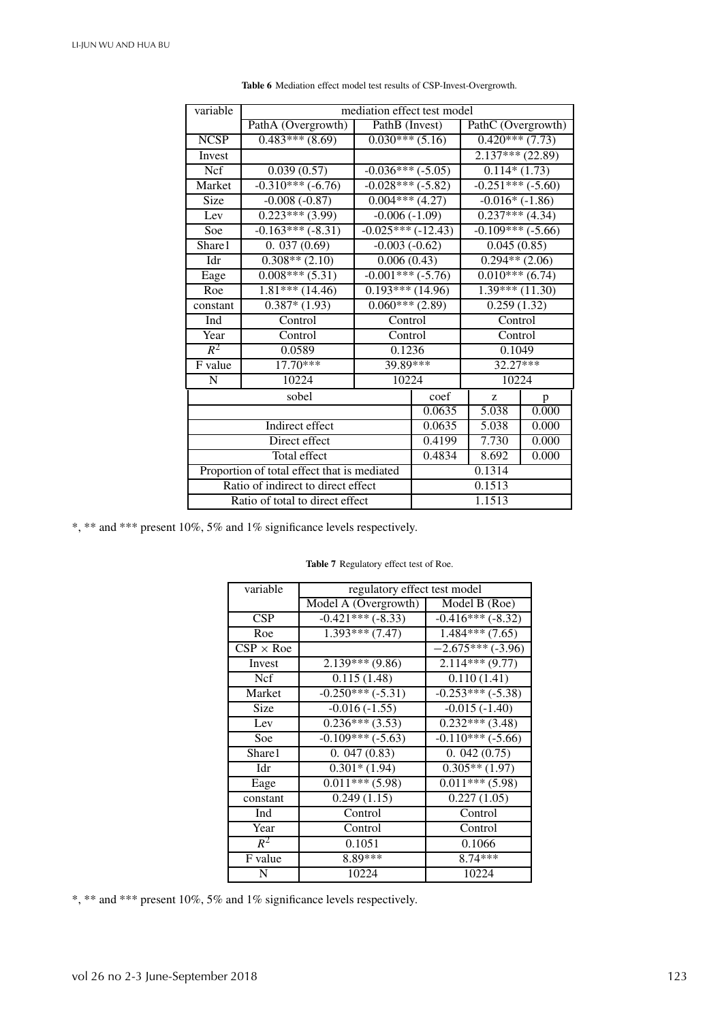| variable    |                                             |                              | mediation effect test model |                            |       |  |
|-------------|---------------------------------------------|------------------------------|-----------------------------|----------------------------|-------|--|
|             | PathA (Overgrowth)                          | PathB (Invest)               |                             | PathC (Overgrowth)         |       |  |
| <b>NCSP</b> | $0.483***(8.69)$                            | $0.030***$ (5.16)            |                             | $0.420***(7.73)$           |       |  |
| Invest      |                                             |                              |                             | $2.137***$ $(22.89)$       |       |  |
| Ncf         | 0.039(0.57)                                 | $-0.036***(-5.05)$           |                             | $\overline{0.114*}$ (1.73) |       |  |
| Market      | $-0.310***(-6.76)$                          | $-0.028***(-5.82)$           |                             | $-0.251***(-5.60)$         |       |  |
| Size        | $-0.008(-0.87)$                             | $0.004***(4.27)$             |                             | $-0.016*(-1.86)$           |       |  |
| Lev         | $0.223***(3.99)$                            | $-0.006(-1.09)$              |                             | $0.237***$ (4.34)          |       |  |
| Soe         | $-0.163***(-8.31)$                          | $-0.025***(-12.43)$          |                             | $-0.109***(-5.66)$         |       |  |
| Share1      | 0.037(0.69)                                 | $-0.003(-0.62)$              |                             | 0.045(0.85)                |       |  |
| Idr         | $0.308**$ (2.10)                            | 0.006(0.43)                  |                             | $0.294**$ (2.06)           |       |  |
| Eage        | $0.008***(5.31)$                            | $-0.001***(-5.76)$           |                             | $0.010***$ (6.74)          |       |  |
| Roe         | $\overline{1.81***(14.46)}$                 | $\overline{0.193***(14.96)}$ |                             | $1.39***(11.30)$           |       |  |
| constant    | $\overline{0.387*}$ (1.93)                  | $0.060***(2.89)$             |                             | 0.259(1.32)                |       |  |
| Ind         | Control                                     | Control                      |                             | Control                    |       |  |
| Year        | Control                                     | Control                      |                             | Control                    |       |  |
| $R^2$       | 0.0589                                      | 0.1236                       |                             | 0.1049                     |       |  |
| F value     | $17.70***$                                  | 39.89***                     |                             | $32.27***$                 |       |  |
| N           | 10224                                       | 10224                        |                             | 10224                      |       |  |
|             | sobel                                       |                              | coef                        | Z                          | p     |  |
|             |                                             |                              | 0.0635                      | 5.038                      | 0.000 |  |
|             | Indirect effect                             |                              | 0.0635                      | 5.038                      | 0.000 |  |
|             | Direct effect                               |                              | 0.4199                      | 7.730                      | 0.000 |  |
|             | Total effect                                | 0.4834                       | 8.692                       | 0.000                      |       |  |
|             | Proportion of total effect that is mediated |                              | 0.1314                      |                            |       |  |
|             | Ratio of indirect to direct effect          |                              | 0.1513                      |                            |       |  |
|             | Ratio of total to direct effect             |                              |                             | 1.1513                     |       |  |

**Table 6** Mediation effect model test results of CSP-Invest-Overgrowth.

\*, \*\* and \*\*\* present 10%, 5% and 1% significance levels respectively.

| regulatory effect test model |                                                                                      |
|------------------------------|--------------------------------------------------------------------------------------|
|                              | Model B (Roe)                                                                        |
|                              | $-0.416***(-8.32)$                                                                   |
|                              | $1.484***(7.65)$                                                                     |
|                              | $-2.675***(-3.96)$                                                                   |
| $2.139***(9.86)$             | $2.114***(9.77)$                                                                     |
| 0.115(1.48)                  | 0.110(1.41)                                                                          |
| $-0.250***(-5.31)$           | $-0.253***(-5.38)$                                                                   |
| $-0.016(-1.55)$              | $-0.015(-1.40)$                                                                      |
| $0.236***(3.53)$             | $0.232***(3.48)$                                                                     |
|                              | $-0.110***(-5.66)$                                                                   |
| 0.047(0.83)                  | 0.042(0.75)                                                                          |
| $0.301*(1.94)$               | $0.305**$ (1.97)                                                                     |
| $0.011***$ (5.98)            | $0.011***$ (5.98)                                                                    |
| 0.249(1.15)                  | 0.227(1.05)                                                                          |
| Control                      | Control                                                                              |
| Control                      | Control                                                                              |
| 0.1051                       | 0.1066                                                                               |
| 8.89***                      | 8.74***                                                                              |
| 10224                        | 10224                                                                                |
|                              | Model A (Overgrowth)<br>$-0.421***(-8.33)$<br>$1.393***(7.47)$<br>$-0.109***(-5.63)$ |

**Table 7** Regulatory effect test of Roe.

\*, \*\* and \*\*\* present 10%, 5% and 1% significance levels respectively.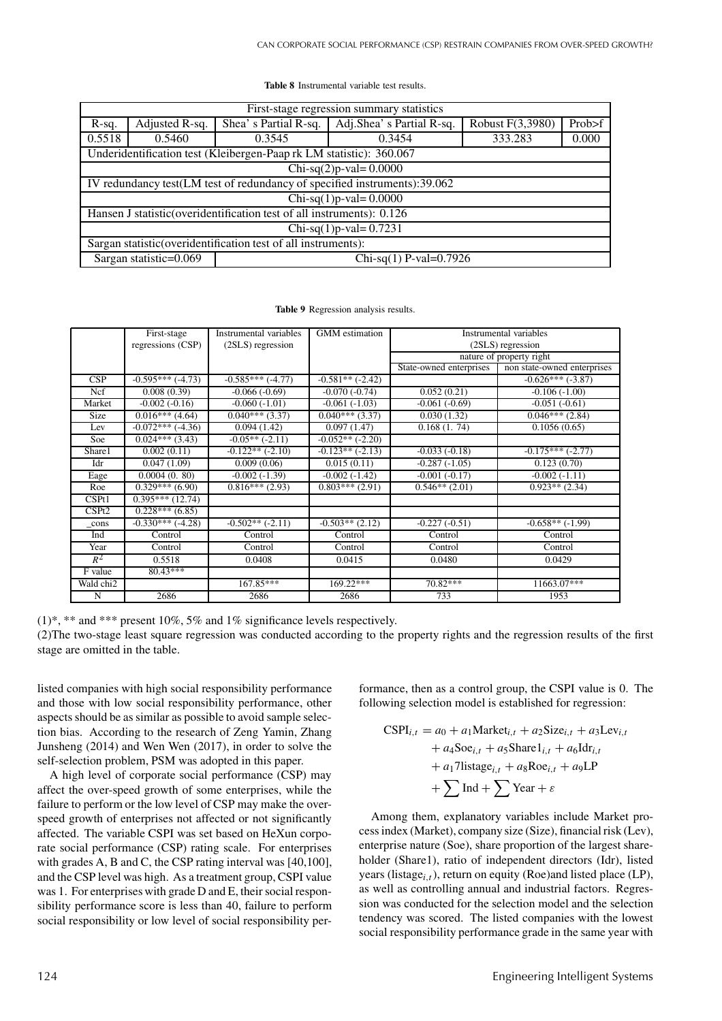| First-stage regression summary statistics                      |                            |                                                                                |                                                                           |  |  |  |  |  |  |
|----------------------------------------------------------------|----------------------------|--------------------------------------------------------------------------------|---------------------------------------------------------------------------|--|--|--|--|--|--|
| $R-sq.$                                                        | Adjusted R-sq.             | Adj.Shea's Partial R-sq.<br>Prob>f<br>Robust F(3,3980)<br>Shea's Partial R-sq. |                                                                           |  |  |  |  |  |  |
| 0.5518                                                         | 0.5460                     | 0.3545                                                                         | 333.283<br>0.3454                                                         |  |  |  |  |  |  |
|                                                                |                            | Underidentification test (Kleibergen-Paap rk LM statistic): 360.067            |                                                                           |  |  |  |  |  |  |
|                                                                |                            |                                                                                | $Chi-sq(2)p-val = 0.0000$                                                 |  |  |  |  |  |  |
|                                                                |                            |                                                                                | IV redundancy test(LM test of redundancy of specified instruments):39.062 |  |  |  |  |  |  |
|                                                                |                            |                                                                                | $Chi-sq(1)p-val = 0.0000$                                                 |  |  |  |  |  |  |
|                                                                |                            | Hansen J statistic (overidentification test of all instruments): 0.126         |                                                                           |  |  |  |  |  |  |
|                                                                | Chi-sq $(1)$ p-val= 0.7231 |                                                                                |                                                                           |  |  |  |  |  |  |
| Sargan statistic (overidentification test of all instruments): |                            |                                                                                |                                                                           |  |  |  |  |  |  |
|                                                                | Sargan statistic=0.069     |                                                                                | Chi-sq(1) P-val= $0.7926$                                                 |  |  |  |  |  |  |

#### **Table 8** Instrumental variable test results.

**Table 9** Regression analysis results.

|                       | First-stage                  | Instrumental variables | <b>GMM</b> estimation       |                         | Instrumental variables      |
|-----------------------|------------------------------|------------------------|-----------------------------|-------------------------|-----------------------------|
|                       | regressions (CSP)            | (2SLS) regression      |                             |                         | (2SLS) regression           |
|                       |                              |                        |                             |                         | nature of property right    |
|                       |                              |                        |                             | State-owned enterprises | non state-owned enterprises |
| CSP                   | $-0.595***$ $(-4.73)$        | $-0.585***$ (-4.77)    | $-0.581**$ $(-2.42)$        |                         | $-0.626***$ (-3.87)         |
| Ncf                   | $\overline{0.008}$ $(0.39)$  | $-0.066(-0.69)$        | $-0.070(-0.74)$             | 0.052(0.21)             | $-0.106(-1.00)$             |
| Market                | $-0.002(-0.16)$              | $-0.060(-1.01)$        | $-0.061(-1.03)$             | $-0.061(-0.69)$         | $-0.051(-0.61)$             |
| <b>Size</b>           | $0.016***$ (4.64)            | $0.040***$ (3.37)      | $\overline{0.040***$ (3.37) | 0.030(1.32)             | $0.046***$ (2.84)           |
| Lev                   | $-0.072***$ (-4.36)          | 0.094(1.42)            | 0.097(1.47)                 | 0.168(1.74)             | 0.1056(0.65)                |
| Soe                   | $0.024***(3.43)$             | $-0.05**(-2.11)$       | $-0.052**(-2.20)$           |                         |                             |
| Share1                | 0.002(0.11)                  | $-0.122**$ (-2.10)     | $-0.123**(-2.13)$           | $-0.033(-0.18)$         | $-0.175***$ (-2.77)         |
| Idr                   | 0.047(1.09)                  | 0.009(0.06)            | 0.015(0.11)                 | $-0.287(-1.05)$         | 0.123(0.70)                 |
| Eage                  | 0.0004(0.80)                 | $-0.002(-1.39)$        | $-0.002(-1.42)$             | $-0.001(-0.17)$         | $-0.002(-1.11)$             |
| Roe                   | $\overline{0.329***}$ (6.90) | $0.816***$ (2.93)      | $0.803***(2.91)$            | $0.546**$ (2.01)        | $0.923**$ (2.34)            |
| CSPt1                 | $0.395***(12.74)$            |                        |                             |                         |                             |
| CSPt2                 | $0.228***(6.85)$             |                        |                             |                         |                             |
| _cons                 | $-0.330***$ (-4.28)          | $-0.502**(-2.11)$      | $-0.503**$ (2.12)           | $-0.227(-0.51)$         | $-0.658**(-1.99)$           |
| Ind                   | Control                      | Control                | Control                     | Control                 | Control                     |
| Year                  | Control                      | Control                | Control                     | Control                 | Control                     |
| $R^2$                 | 0.5518                       | 0.0408                 | 0.0415                      | 0.0480                  | 0.0429                      |
| F value               | $80.43***$                   |                        |                             |                         |                             |
| Wald chi <sub>2</sub> |                              | $167.85***$            | $169.22***$                 | 70.82***                | 11663.07***                 |
| N                     | 2686                         | 2686                   | 2686                        | 733                     | 1953                        |

 $(1)$ <sup>\*</sup>, \*\* and \*\*\* present 10%, 5% and 1% significance levels respectively.

(2)The two-stage least square regression was conducted according to the property rights and the regression results of the first stage are omitted in the table.

listed companies with high social responsibility performance and those with low social responsibility performance, other aspects should be as similar as possible to avoid sample selection bias. According to the research of Zeng Yamin, Zhang Junsheng (2014) and Wen Wen (2017), in order to solve the self-selection problem, PSM was adopted in this paper.

A high level of corporate social performance (CSP) may affect the over-speed growth of some enterprises, while the failure to perform or the low level of CSP may make the overspeed growth of enterprises not affected or not significantly affected. The variable CSPI was set based on HeXun corporate social performance (CSP) rating scale. For enterprises with grades A, B and C, the CSP rating interval was [40,100], and the CSP level was high. As a treatment group, CSPI value was 1. For enterprises with grade D and E, their social responsibility performance score is less than 40, failure to perform social responsibility or low level of social responsibility performance, then as a control group, the CSPI value is 0. The following selection model is established for regression:

$$
CSPI_{i,t} = a_0 + a_1 \text{Market}_{i,t} + a_2 \text{Size}_{i,t} + a_3 \text{Lev}_{i,t}
$$
  
+ a\_4 \text{Soe}\_{i,t} + a\_5 \text{Share1}\_{i,t} + a\_6 \text{Idr}\_{i,t}  
+ a\_1 \text{7listage}\_{i,t} + a\_8 \text{Roe}\_{i,t} + a\_9 \text{LP}  
+ \sum \text{Ind} + \sum \text{Year} + \varepsilon

Among them, explanatory variables include Market process index (Market), company size (Size), financial risk (Lev), enterprise nature (Soe), share proportion of the largest shareholder (Share1), ratio of independent directors (Idr), listed years (listage*i*,*t*), return on equity (Roe)and listed place (LP), as well as controlling annual and industrial factors. Regression was conducted for the selection model and the selection tendency was scored. The listed companies with the lowest social responsibility performance grade in the same year with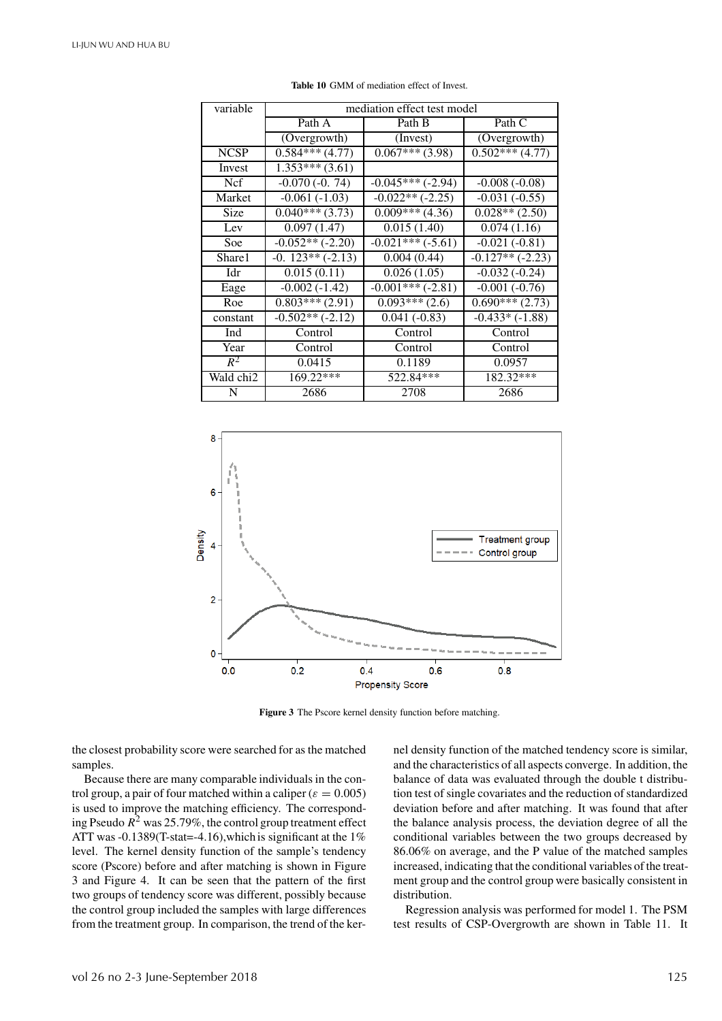| variable    |                   | mediation effect test model |                   |
|-------------|-------------------|-----------------------------|-------------------|
|             | Path A            | Path B                      | Path C            |
|             | (Overgrowth)      | (Invest)                    | (Overgrowth)      |
| <b>NCSP</b> | $0.584***(4.77)$  | $0.067***$ (3.98)           | $0.502***(4.77)$  |
| Invest      | $1.353***(3.61)$  |                             |                   |
| Ncf         | $-0.070(-0.74)$   | $-0.045***(-2.94)$          | $-0.008(-0.08)$   |
| Market      | $-0.061(-1.03)$   | $-0.022**(-2.25)$           | $-0.031(-0.55)$   |
| Size        | $0.040***$ (3.73) | $0.009***$ (4.36)           | $0.028**$ (2.50)  |
| Lev         | 0.097(1.47)       | 0.015(1.40)                 | 0.074(1.16)       |
| Soe         | $-0.052**(-2.20)$ | $-0.021***(-5.61)$          | $-0.021(-0.81)$   |
| Share1      | $-0.123**(-2.13)$ | 0.004(0.44)                 | $-0.127**(-2.23)$ |
| Idr         | 0.015(0.11)       | 0.026(1.05)                 | $-0.032(-0.24)$   |
| Eage        | $-0.002(-1.42)$   | $-0.001***(-2.81)$          | $-0.001(-0.76)$   |
| Roe         | $0.803***(2.91)$  | $0.093***(2.6)$             | $0.690***(2.73)$  |
| constant    | $-0.502**(-2.12)$ | $0.041(-0.83)$              | $-0.433*(-1.88)$  |
| Ind         | Control           | Control                     | Control           |
| Year        | Control           | Control                     | Control           |
| $R^2$       | 0.0415            | 0.1189                      | 0.0957            |
| Wald chi2   | 169.22***         | 522.84***                   | 182.32***         |
| N           | 2686              | 2708                        | 2686              |

**Table 10** GMM of mediation effect of Invest.



**Figure 3** The Pscore kernel density function before matching.

the closest probability score were searched for as the matched samples.

Because there are many comparable individuals in the control group, a pair of four matched within a caliper ( $\varepsilon = 0.005$ ) is used to improve the matching efficiency. The corresponding Pseudo  $R^2$  was 25.79%, the control group treatment effect ATT was -0.1389(T-stat=-4.16), which is significant at the  $1\%$ level. The kernel density function of the sample's tendency score (Pscore) before and after matching is shown in Figure 3 and Figure 4. It can be seen that the pattern of the first two groups of tendency score was different, possibly because the control group included the samples with large differences from the treatment group. In comparison, the trend of the kernel density function of the matched tendency score is similar, and the characteristics of all aspects converge. In addition, the balance of data was evaluated through the double t distribution test of single covariates and the reduction of standardized deviation before and after matching. It was found that after the balance analysis process, the deviation degree of all the conditional variables between the two groups decreased by 86.06% on average, and the P value of the matched samples increased, indicating that the conditional variables of the treatment group and the control group were basically consistent in distribution.

Regression analysis was performed for model 1. The PSM test results of CSP-Overgrowth are shown in Table 11. It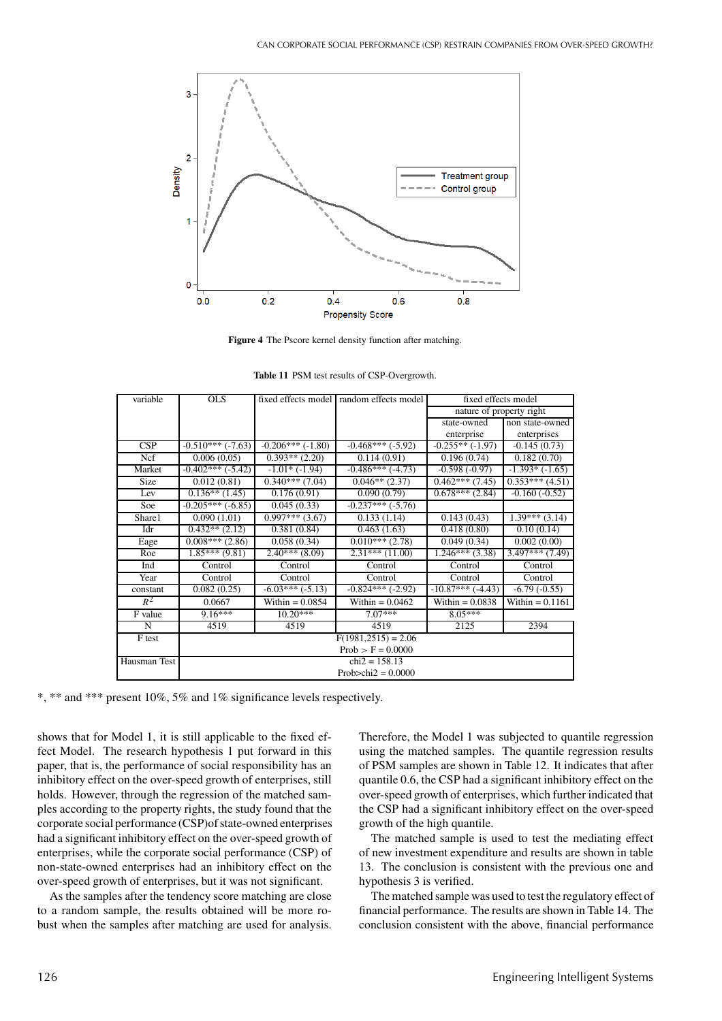

**Figure 4** The Pscore kernel density function after matching.

| variable     | $OLS$              |                             | fixed effects model random effects model | fixed effects model      |                     |  |  |  |
|--------------|--------------------|-----------------------------|------------------------------------------|--------------------------|---------------------|--|--|--|
|              |                    |                             |                                          | nature of property right |                     |  |  |  |
|              |                    |                             |                                          | state-owned              | non state-owned     |  |  |  |
|              |                    |                             |                                          | enterprise               | enterprises         |  |  |  |
| CSP          | $-0.510***(-7.63)$ | $-0.206***(-1.80)$          | $-0.468***(-5.92)$                       | $-0.255**(-1.97)$        | $-0.145(0.73)$      |  |  |  |
| Ncf          | 0.006(0.05)        | $0.393**$ (2.20)            | 0.114(0.91)                              | 0.196(0.74)              | 0.182(0.70)         |  |  |  |
| Market       | $-0.402***(-5.42)$ | $-1.01*$ ( $-1.94$ )        | $-0.486***$ $(-4.73)$                    | $-0.598(-0.97)$          | $-1.393*$ $(-1.65)$ |  |  |  |
| <b>Size</b>  | 0.012(0.81)        | $0.340***$ (7.04)           | $0.046**$ (2.37)                         | $0.462***(7.45)$         | $0.353***(4.51)$    |  |  |  |
| Lev          | $0.136**$ (1.45)   | 0.176(0.91)                 | 0.090(0.79)                              | $0.678***$ (2.84)        | $-0.160(-0.52)$     |  |  |  |
| Soe          | $-0.205***(-6.85)$ | 0.045(0.33)                 | $-0.237***$ $(-5.76)$                    |                          |                     |  |  |  |
| Share1       | 0.090(1.01)        | $\overline{0.997***$ (3.67) | 0.133(1.14)                              | 0.143(0.43)              | $1.39***(3.14)$     |  |  |  |
| Idr          | $0.432**$ (2.12)   | 0.381(0.84)                 | $\overline{0.463}$ (1.63)                | 0.418(0.80)              | 0.10(0.14)          |  |  |  |
| Eage         | $0.008***(2.86)$   | 0.058(0.34)                 | $\overline{0.010}$ *** (2.78)            | 0.049(0.34)              | 0.002(0.00)         |  |  |  |
| Roe          | $1.85***(9.81)$    | $2.40***$ (8.09)            | $2.31***$ (11.00)                        | $1.246***(3.38)$         | $3.497***$ (7.49)   |  |  |  |
| Ind          | Control            | Control                     | Control                                  | Control                  | Control             |  |  |  |
| Year         | Control            | Control                     | Control                                  | Control                  | Control             |  |  |  |
| constant     | 0.082(0.25)        | $-6.03***(-5.13)$           | $-0.824***$ (-2.92)                      | $-10.87***$ $(-4.43)$    | $-6.79(-0.55)$      |  |  |  |
| $R^2$        | 0.0667             | Within $= 0.0854$           | Within = $0.0462$                        | Within $= 0.0838$        | Within $= 0.1161$   |  |  |  |
| F value      | $9.16***$          | $10.20***$                  | $7.07***$                                | $8.05***$                |                     |  |  |  |
| N            | 4519               | 4519                        | 4519                                     | 2125                     | 2394                |  |  |  |
| F test       |                    |                             | $F(1981.2515) = 2.06$                    |                          |                     |  |  |  |
|              |                    | $Prob > F = 0.0000$         |                                          |                          |                     |  |  |  |
| Hausman Test |                    |                             | $chi2 = 158.13$                          |                          |                     |  |  |  |
|              |                    |                             | Prob $\ge$ chi $2 = 0.0000$              |                          |                     |  |  |  |

**Table 11** PSM test results of CSP-Overgrowth.

\*\* and \*\*\* present 10%, 5% and 1% significance levels respectively.

shows that for Model 1, it is still applicable to the fixed effect Model. The research hypothesis 1 put forward in this paper, that is, the performance of social responsibility has an inhibitory effect on the over-speed growth of enterprises, still holds. However, through the regression of the matched samples according to the property rights, the study found that the corporate social performance (CSP)of state-owned enterprises had a significant inhibitory effect on the over-speed growth of enterprises, while the corporate social performance (CSP) of non-state-owned enterprises had an inhibitory effect on the over-speed growth of enterprises, but it was not significant.

As the samples after the tendency score matching are close to a random sample, the results obtained will be more robust when the samples after matching are used for analysis. Therefore, the Model 1 was subjected to quantile regression using the matched samples. The quantile regression results of PSM samples are shown in Table 12. It indicates that after quantile 0.6, the CSP had a significant inhibitory effect on the over-speed growth of enterprises, which further indicated that the CSP had a significant inhibitory effect on the over-speed growth of the high quantile.

The matched sample is used to test the mediating effect of new investment expenditure and results are shown in table 13. The conclusion is consistent with the previous one and hypothesis 3 is verified.

The matched sample was used to test the regulatory effect of financial performance. The results are shown in Table 14. The conclusion consistent with the above, financial performance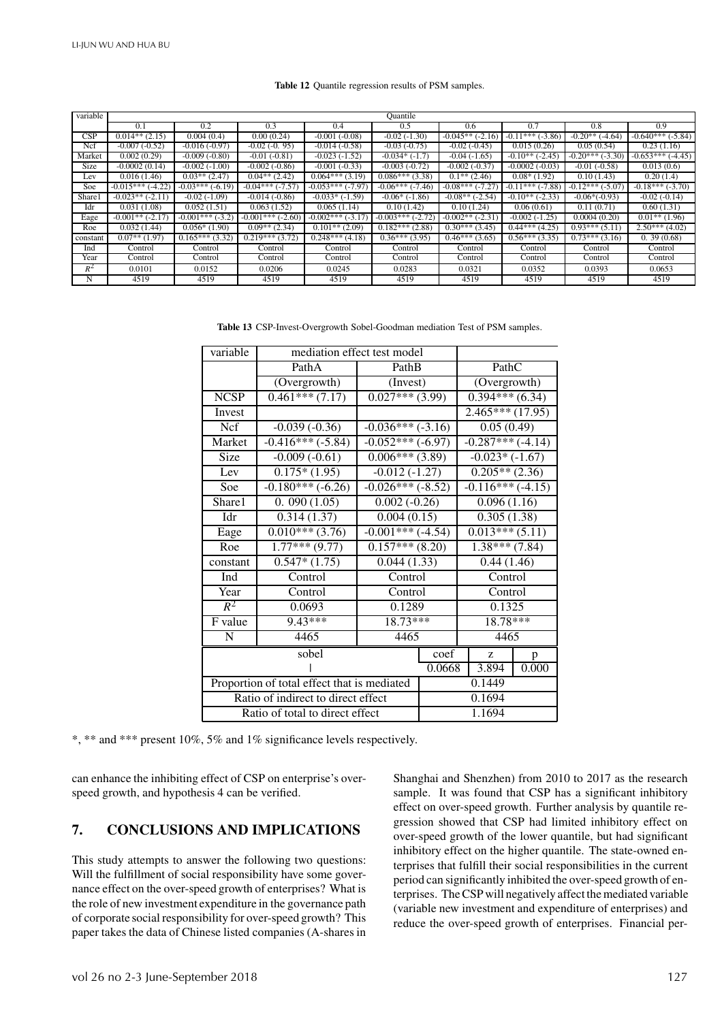#### **Table 12** Quantile regression results of PSM samples.

| variable |                           |                   |                         |                     | Quantile                |                            |                         |                        |                         |
|----------|---------------------------|-------------------|-------------------------|---------------------|-------------------------|----------------------------|-------------------------|------------------------|-------------------------|
|          | 0.1                       | 0.2               | 0.3                     | 0.4                 | 0.5                     | 0.6                        | 0.7                     | 0.8                    | 0.9                     |
| CSP      | $0.014**$ (2.15)          | 0.004(0.4)        | 0.00(0.24)              | $-0.001(-0.08)$     | $-0.02(-1.30)$          | $-0.045**(-2.16)$          | $-0.11***$ ( $-3.86$ )  | $-0.20**$<br>$(-4.64)$ | $-0.640***$ ( $-5.84$ ) |
| Ncf      | $-0.007(-0.52)$           | $-0.016(-0.97)$   | $-0.02$ $(-0.95)$       | $-0.014(-0.58)$     | $-0.03(-0.75)$          | $-0.02(-0.45)$             | 0.015(0.26)             | 0.05(0.54)             | 0.23(1.16)              |
| Market   | 0.002(0.29)               | $-0.009(-0.80)$   | $-0.01(-0.81)$          | $-0.023(-1.52)$     | $-0.034*$ $(-1.7)$      | $-0.04(-1.65)$             | $-0.10**$ (-2.45)       | $-0.20***(-3.30)$      | $-0.653***$ (-4.45)     |
| Size     | $-0.0002(0.14)$           | $-0.002(-1.00)$   | $-0.002(-0.86)$         | $-0.001(-0.33)$     | $-0.003(-0.72)$         | $-0.002(-0.37)$            | $-0.0002(-0.03)$        | $-0.01(-0.58)$         | 0.013(0.6)              |
| Lev      | $\overline{0.016}$ (1.46) | $0.03**$ (2.47)   | $0.04**$ (2.42)         | $0.064***(3.19)$    | $0.086***(3.38)$        | $\overline{0.1}$ ** (2.46) | $0.08*(1.92)$           | 0.10(1.43)             | 0.20(1.4)               |
| Soe      | $-0.015***$ (-4.22)       | $-0.03***(-6.19)$ | $-0.04***$<br>$(-7.57)$ | $-0.053***$ (-7.97) | $-0.06***$<br>$(-7.46)$ | $-0.08***$                 | $-0.11***$<br>$(-7.88)$ | $-0.12***(-5.07)$      | $-0.18***(-3.70)$       |
| Share1   | $-0.023**(-2.11)$         | $-0.02(-1.09)$    | $-0.014(-0.86)$         | $-0.033*(-1.59)$    | $-0.06*$ (-1.86)        | $-0.08**$<br>$(-2.54)$     | $-0.10**(-2.33)$        | $-0.06*(-0.93)$        | $-0.02(-0.14)$          |
| Idr      | 0.031(1.08)               | 0.052(1.51)       | 0.063(1.52)             | 0.065(1.14)         | 0.10(1.42)              | 0.10(1.24)                 | 0.06(0.61)              | 0.11(0.71)             | 0.60(1.31)              |
| Eage     | $-0.001**(-2.17)$         | $-0.001***(-3.2)$ | $-0.001***$ (-2.60)     | $-0.002***(-3.17)$  | $-0.003***(-2.72)$      | $-0.002**(-2.31)$          | $-0.002(-1.25)$         | 0.0004(0.20)           | $0.01**$ (1.96)         |
| Roe      | 0.032(1.44)               | $0.056*(1.90)$    | $0.09**$ (2.34)         | $0.101**$ (2.09)    | $0.182***$ (2.88)       | $0.30***$ (3.45)           | $0.44***$ (4.25)        | $0.93***$ (5.11)       | $2.50***(4.02)$         |
| constant | $0.07**$ (1.97)           | $0.165***(3.32)$  | $0.219***(3.72)$        | $0.248***$ (4.18)   | $0.36***(3.95)$         | $0.46***(3.65)$            | $0.56***(3.35)$         | $0.73***(3.16)$        | 0.39(0.68)              |
| Ind      | Control                   | Control           | Control                 | Control             | Control                 | Control                    | Control                 | Control                | Control                 |
| Year     | Control                   | Control           | Control                 | Control             | Control                 | Control                    | Control                 | Control                | Control                 |
| $R^2$    | 0.0101                    | 0.0152            | 0.0206                  | 0.0245              | 0.0283                  | 0.0321                     | 0.0352                  | 0.0393                 | 0.0653                  |
| N        | 4519                      | 4519              | 4519                    | 4519                | 4519                    | 4519                       | 4519                    | 4519                   | 4519                    |

**Table 13** CSP-Invest-Overgrowth Sobel-Goodman mediation Test of PSM samples.

| variable                        | mediation effect test model                 |                     |                  |                    |   |
|---------------------------------|---------------------------------------------|---------------------|------------------|--------------------|---|
|                                 | PathA                                       | PathB               |                  | PathC              |   |
|                                 | (Overgrowth)                                | (Invest)            |                  | (Overgrowth)       |   |
| <b>NCSP</b>                     | $0.461***(7.17)$                            | $0.027***(3.99)$    | $0.394***(6.34)$ |                    |   |
| Invest                          |                                             | $2.465***(17.95)$   |                  |                    |   |
| <b>Ncf</b>                      | $-0.039(-0.36)$                             | $-0.036***(-3.16)$  |                  | 0.05(0.49)         |   |
| Market                          | $-0.416***(-5.84)$                          | $-0.052***(-6.97)$  |                  | $-0.287***(-4.14)$ |   |
| Size                            | $-0.009(-0.61)$                             | $0.006***$ (3.89)   |                  | $-0.023*(-1.67)$   |   |
| Lev                             | $0.175*(1.95)$                              | $-0.012(-1.27)$     |                  | $0.205**$ (2.36)   |   |
| Soe                             | $-0.180***(-6.26)$                          | $-0.026***(-8.52)$  |                  | $-0.116***(-4.15)$ |   |
| Share1                          | 0.090(1.05)                                 | $0.002(-0.26)$      |                  | 0.096(1.16)        |   |
| Idr                             | 0.314(1.37)                                 | 0.004(0.15)         |                  | 0.305(1.38)        |   |
| Eage                            | $0.010***(3.76)$                            | $-0.001***$ (-4.54) |                  | $0.013***(5.11)$   |   |
| Roe                             | $\overline{1.77***$ (9.77)                  | $0.157***(8.20)$    |                  | $1.38***(7.84)$    |   |
| constant                        | $0.547*(1.75)$                              | 0.044(1.33)         |                  | 0.44(1.46)         |   |
| Ind                             | Control                                     | Control             |                  | Control            |   |
| Year                            | Control                                     | Control             |                  | Control            |   |
| $R^2$                           | 0.0693                                      | 0.1289              |                  | 0.1325             |   |
| F value                         | 9.43***                                     | $18.73***$          |                  | 18.78***           |   |
| ${\bf N}$                       | 4465                                        | 4465                |                  | 4465               |   |
|                                 | sobel                                       |                     | coef             | Z                  | p |
|                                 |                                             | 0.0668              | 3.894            | 0.000              |   |
|                                 | Proportion of total effect that is mediated | 0.1449              |                  |                    |   |
|                                 | Ratio of indirect to direct effect          | 0.1694              |                  |                    |   |
| Ratio of total to direct effect |                                             |                     | 1.1694           |                    |   |

\*, \*\* and \*\*\* present 10%, 5% and 1% significance levels respectively.

can enhance the inhibiting effect of CSP on enterprise's overspeed growth, and hypothesis 4 can be verified.

# **7. CONCLUSIONS AND IMPLICATIONS**

This study attempts to answer the following two questions: Will the fulfillment of social responsibility have some governance effect on the over-speed growth of enterprises? What is the role of new investment expenditure in the governance path of corporate social responsibility for over-speed growth? This paper takes the data of Chinese listed companies (A-shares in Shanghai and Shenzhen) from 2010 to 2017 as the research sample. It was found that CSP has a significant inhibitory effect on over-speed growth. Further analysis by quantile regression showed that CSP had limited inhibitory effect on over-speed growth of the lower quantile, but had significant inhibitory effect on the higher quantile. The state-owned enterprises that fulfill their social responsibilities in the current period can significantly inhibited the over-speed growth of enterprises. The CSP will negatively affect the mediated variable (variable new investment and expenditure of enterprises) and reduce the over-speed growth of enterprises. Financial per-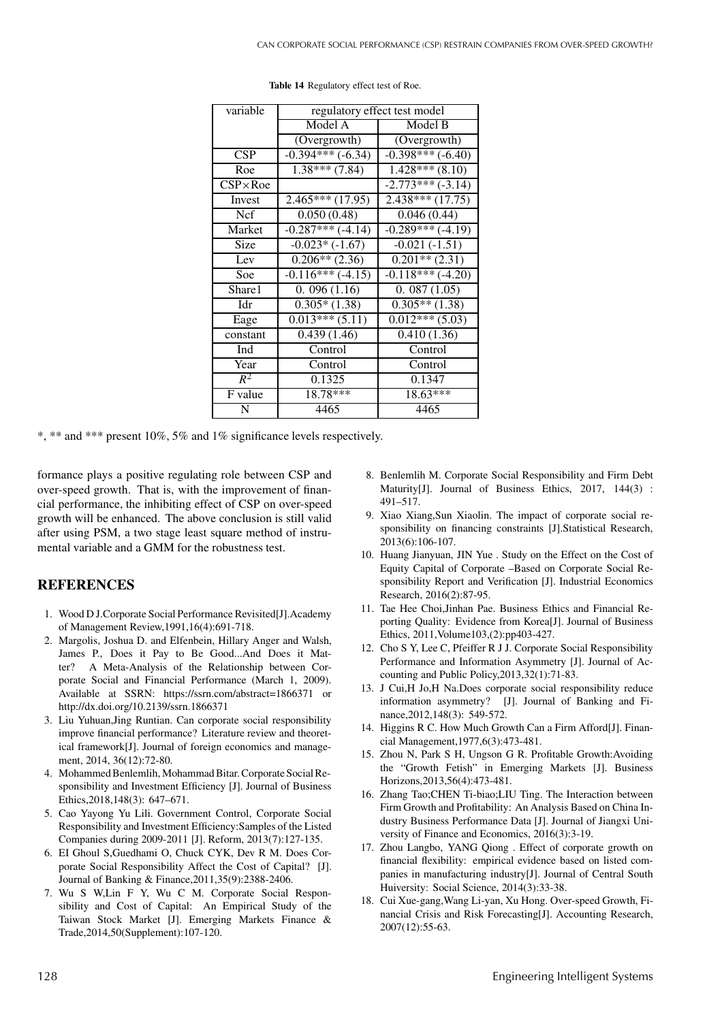| variable         | regulatory effect test model |                    |  |
|------------------|------------------------------|--------------------|--|
|                  | Model A                      | Model B            |  |
|                  | (Overgrowth)                 | (Overgrowth)       |  |
| CSP              | $-0.394***(-6.34)$           | $-0.398***(-6.40)$ |  |
| Roe              | $1.38***(7.84)$              | $1.428***(8.10)$   |  |
| $CSP \times Roe$ |                              | $-2.773***(-3.14)$ |  |
| Invest           | $2.465***(17.95)$            | $2.438***(17.75)$  |  |
| <b>Ncf</b>       | 0.050(0.48)                  | 0.046(0.44)        |  |
| Market           | $-0.287***(-4.14)$           | $-0.289***(-4.19)$ |  |
| Size             | $-0.023*(-1.67)$             | $-0.021(-1.51)$    |  |
| Lev              | $0.206**$ (2.36)             | $0.201**$ (2.31)   |  |
| Soe              | $-0.116***(-4.15)$           | $-0.118***(-4.20)$ |  |
| Share1           | 0.096(1.16)                  | 0.087(1.05)        |  |
| Idr              | $0.305*(1.38)$               | $0.305**$ (1.38)   |  |
| Eage             | $0.013***(5.11)$             | $0.012***(5.03)$   |  |
| constant         | 0.439(1.46)                  | 0.410(1.36)        |  |
| Ind              | Control                      | Control            |  |
| Year             | Control                      | Control            |  |
| $R^2$            | 0.1325                       | 0.1347             |  |
| F value          | 18.78***                     | $18.63***$         |  |
| N                | 4465                         | 4465               |  |

**Table 14** Regulatory effect test of Roe.

\*, \*\* and \*\*\* present 10%, 5% and 1% significance levels respectively.

formance plays a positive regulating role between CSP and over-speed growth. That is, with the improvement of financial performance, the inhibiting effect of CSP on over-speed growth will be enhanced. The above conclusion is still valid after using PSM, a two stage least square method of instrumental variable and a GMM for the robustness test.

## **REFERENCES**

- 1. Wood D J.Corporate Social Performance Revisited[J].Academy of Management Review,1991,16(4):691-718.
- 2. Margolis, Joshua D. and Elfenbein, Hillary Anger and Walsh, James P., Does it Pay to Be Good...And Does it Matter? A Meta-Analysis of the Relationship between Corporate Social and Financial Performance (March 1, 2009). Available at SSRN: https://ssrn.com/abstract=1866371 or http://dx.doi.org/10.2139/ssrn.1866371
- 3. Liu Yuhuan,Jing Runtian. Can corporate social responsibility improve financial performance? Literature review and theoretical framework[J]. Journal of foreign economics and management, 2014, 36(12):72-80.
- 4. Mohammed Benlemlih, Mohammad Bitar. Corporate Social Responsibility and Investment Efficiency [J]. Journal of Business Ethics,2018,148(3): 647–671.
- 5. Cao Yayong Yu Lili. Government Control, Corporate Social Responsibility and Investment Efficiency:Samples of the Listed Companies during 2009-2011 [J]. Reform, 2013(7):127-135.
- 6. EI Ghoul S,Guedhami O, Chuck CYK, Dev R M. Does Corporate Social Responsibility Affect the Cost of Capital? [J]. Journal of Banking & Finance,2011,35(9):2388-2406.
- 7. Wu S W,Lin F Y, Wu C M. Corporate Social Responsibility and Cost of Capital: An Empirical Study of the Taiwan Stock Market [J]. Emerging Markets Finance & Trade,2014,50(Supplement):107-120.
- 8. Benlemlih M. Corporate Social Responsibility and Firm Debt Maturity[J]. Journal of Business Ethics, 2017, 144(3) : 491–517.
- 9. Xiao Xiang,Sun Xiaolin. The impact of corporate social responsibility on financing constraints [J].Statistical Research, 2013(6):106-107.
- 10. Huang Jianyuan, JIN Yue . Study on the Effect on the Cost of Equity Capital of Corporate –Based on Corporate Social Responsibility Report and Verification [J]. Industrial Economics Research, 2016(2):87-95.
- 11. Tae Hee Choi,Jinhan Pae. Business Ethics and Financial Reporting Quality: Evidence from Korea[J]. Journal of Business Ethics, 2011,Volume103,(2):pp403-427.
- 12. Cho S Y, Lee C, Pfeiffer R J J. Corporate Social Responsibility Performance and Information Asymmetry [J]. Journal of Accounting and Public Policy,2013,32(1):71-83.
- 13. J Cui,H Jo,H Na.Does corporate social responsibility reduce information asymmetry? [J]. Journal of Banking and Finance,2012,148(3): 549-572.
- 14. Higgins R C. How Much Growth Can a Firm Afford[J]. Financial Management,1977,6(3):473-481.
- 15. Zhou N, Park S H, Ungson G R. Profitable Growth:Avoiding the "Growth Fetish" in Emerging Markets [J]. Business Horizons,2013,56(4):473-481.
- 16. Zhang Tao;CHEN Ti-biao;LIU Ting. The Interaction between Firm Growth and Profitability: An Analysis Based on China Industry Business Performance Data [J]. Journal of Jiangxi University of Finance and Economics, 2016(3):3-19.
- 17. Zhou Langbo, YANG Qiong . Effect of corporate growth on financial flexibility: empirical evidence based on listed companies in manufacturing industry[J]. Journal of Central South Huiversity: Social Science, 2014(3):33-38.
- 18. Cui Xue-gang,Wang Li-yan, Xu Hong. Over-speed Growth, Financial Crisis and Risk Forecasting[J]. Accounting Research, 2007(12):55-63.